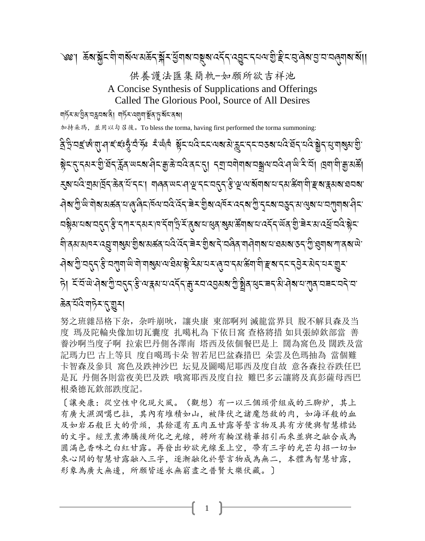[讓央康:從空性中化現火風。(觀想)有一以三個頭骨組成的三腳炉,其上 有廣大濕潤噶巴拉,其內有堆積如山,被降伏之諸魔怨敌的肉,如海洋般的血 及如岩石般巨大的骨頭,其餘還有五肉五甘露等誓言物及具有方便與智慧標誌 的文字。經烹煮沸騰後所化之光線,將所有輪涅精華招引而來並與之融合成為 圆满色香味之白紅甘露。再發出妙欲光線至上空,帶有三字的光芒勾招一切如 來心間的智慧甘露融入三字,逐漸融化於誓言物成為無二,本體為智慧甘露, 形象為廣大無邊,所願皆遂永無窮盡之普賢大樂伏藏。〕

努之班雜昂格下杂,杂吽崩吙,讓央康 東部啊列 滅龍當界貝 脫不解貝森及当 度 瑪及陀輪央像加切瓦囊度 扎噶札為 下依日窩 查格將措 如貝張綽欽部當 善 養沙啊当度子啊 拉索巴丹側各澤南 塔西及依個餐巴是上 闊為窩色及 闊跌及當 記瑪力巴 古上等貝 度自噶瑪卡朵 智若尼巴盆森措巴 朵雲及色瑪抽為 當個難 卡智森及參貝 窩色及跌神沙巴 坛見及圖噶尼耶西及度自故 意各森拉吞跌任巴 是瓦 丹側各則當夜美巴及跌 哦窩耶西及度自拉 難巴多云讓將及真彭薩母西巴 根桑德瓦欽部跌度記。

ऄॺॱॻॖऀ<sup>ॱख़</sup>ॱॺॊॺॱॺॾ॔ॺॱय़ॱॺॱऀॺऀॸॱ<sub>ऻ</sub>ॺ॔ॺॱय़दऀॱदॅॸ॔ॱॾॆॸॱॼॖॆॺॱय़ॺॕॸॱय़ॸॺॱॻॖऀॱॸॸॺॱय़ख़ॖॸॱॺॱॶॺॱय़ॱय़ग़ॺॺॱय़ऀॸॱ **¤ষ্ট্ৰমামৰামন্ত্ৰাস্তি দৃশ্য-দৰ্মমাণ দ্বিত্ৰীস্থিত্বৰ্যৰ মুখ্য মন্ত্ৰীসমান কৰ্মৰ অৱস্থা বিদ্যালয় স্বাদ্বীস্থ** ঀ৾ঀয়য়য়ঢ়য়ৼঀয়ৣয়ঀয়ৣয়ৼঀৗৣয়ৼয়ড়ঀ৸ঀৼ৻ড়ঀৼঀৗৼঀৗৢয়ৼঀৗৼঀঀ৻ৼঀড়ঀ৸ঀঀঀ৻৻৸ড়ঀৼঀ৻ড়ৢ৻য়ঀ৻ৼঀ৻ড়ৢ৻ ট। ইয়লুৰখ্য প্ৰথা প্ৰতিষ্ঠিত প্ৰাপ্ত প্ৰতিষ্ঠা প্ৰতিষ্ঠা প্ৰতিষ্ঠা প্ৰতিষ্ঠা পৰা প্ৰতিষ্ঠা প্ৰতি **क्रेद** यदि यान्ने र र सु सु र

णहॅर अञ्चेत वङ्गवबादे। गहॅर व्यागञ्चॅद हुन्धॅर दबा 加持朵瑪, 並用以勾召後。To bless the torma, having first performed the torma summoning: बुद्धियह्र ल्लासी हरू हिंदै पुरुष्टि हरू सूचि ब्राट्यास्टर के अधिक स्थिति के स्वयं स्थान के सुर्यव्यक्षि सुर्य ইন্দ্ৰোদ্ধৰ্শ স্কুৰ্য স্থাৰ বিষয়ে স্থানী পৰা বিষয়ে পৰা বিষয়ে স্থানী স্থানী পৰা স্থানী স্থানী স্থা ड़ॺॱय़द<u>ि</u>ॱয়ॖ৶ঢ়ৄৗ৴৾ড়৾ঀ<sup>ৢ</sup>য়৾ৼ৾৴ৼ৾৾৸৾য়৾৾৻ড়৾ৼ৸ড়ৼ৸ৼঀ৾ড়ৢ৾ৼৼৼৼ৾ৼ৳ৼৼৼৼড়৾ড়৸ড়ৢড়৸ড়৸ড়ৼড়ৼড়য়ৼৼয়ৼড়ৼয়

供養護法匯集簡軌-如願所欲吉祥池 A Concise Synthesis of Supplications and Offerings Called The Glorious Pool, Source of All Desires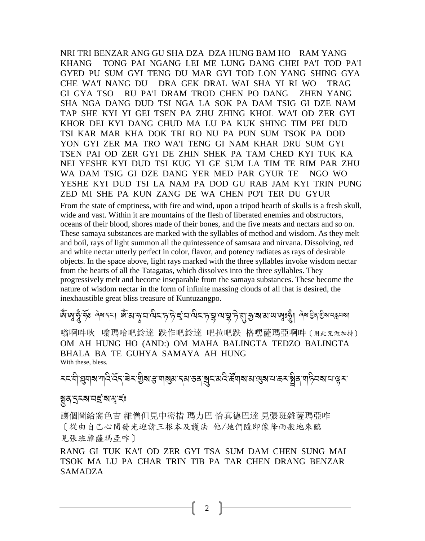NRI TRI BENZAR ANG GU SHA DZA DZA HUNG BAM HO RAM YANG KHANG TONG PAI NGANG LEI ME LUNG DANG CHEI PA'I TOD PA'I GYED PU SUM GYI TENG DU MAR GYI TOD LON YANG SHING GYA CHE WA'I NANG DU DRA GEK DRAL WAI SHA YI RI WO TRAG GI GYA TSO RU PA'I DRAM TROD CHEN PO DANG ZHEN YANG SHA NGA DANG DUD TSI NGA LA SOK PA DAM TSIG GI DZE NAM TAP SHE KYI YI GEI TSEN PA ZHU ZHING KHOL WA'I OD ZER GYI KHOR DEI KYI DANG CHUD MA LU PA KUK SHING TIM PEI DUD TSI KAR MAR KHA DOK TRI RO NU PA PUN SUM TSOK PA DOD YON GYI ZER MA TRO WA'I TENG GI NAM KHAR DRU SUM GYI TSEN PAI OD ZER GYI DE ZHIN SHEK PA TAM CHED KYI TUK KA NEI YESHE KYI DUD TSI KUG YI GE SUM LA TIM TE RIM PAR ZHU WA DAM TSIG GI DZE DANG YER MED PAR GYUR TE NGO WO YESHE KYI DUD TSI LA NAM PA DOD GU RAB JAM KYI TRIN PUNG ZED MI SHE PA KUN ZANG DE WA CHEN PO'I TER DU GYUR

From the state of emptiness, with fire and wind, upon a tripod hearth of skulls is a fresh skull, wide and vast. Within it are mountains of the flesh of liberated enemies and obstructors, oceans of their blood, shores made of their bones, and the five meats and nectars and so on. These samaya substances are marked with the syllables of method and wisdom. As they melt and boil, rays of light summon all the quintessence of samsara and nirvana. Dissolving, red and white nectar utterly perfect in color, flavor, and potency radiates as rays of desirable objects. In the space above, light rays marked with the three syllables invoke wisdom nectar from the hearts of all the Tatagatas, which dissolves into the three syllables. They progressively melt and become inseparable from the samaya substances. These become the nature of wisdom nectar in the form of infinite massing clouds of all that is desired, the inexhaustible great bliss treasure of Kuntuzangpo.

# ে ক্ৰিন্দ্ৰীয়ে স্কুল্ল কৰি পৰি বিশ্ববিদ্যালয়ৰ বিশিষ্ট প্ৰয়াৰ পৰি বিশিষ্ট পৰি প্ৰয়োগ কৰি কৰি বিশ্ববিদ্যালয়<br>জ্যাতি প্ৰায় কৰি বিশিষ্ট পৰি বিশ্ববিদ্যালয়ৰ বিশিষ্ট পৰি বিশিষ্ট পৰি বিশিষ্ট পৰি বিশ্ববিদ্যালয়ৰ পৰি বিশ্ববি

嗡啊吽吙 嗡瑪哈吧鈴達 跌作吧鈴達 吧拉吧跌 格嘿薩瑪亞啊吽〔用此咒做加持〕 OM AH HUNG HO (AND:) OM MAHA BALINGTA TEDZO BALINGTA BHALA BA TE GUHYA SAMAYA AH HUNG With these, bless.

<u>≍दशिञ्च</u>लबालदिखिदाचेदाशुबाहणबुबाद्याउवाबुदायदेऊॅलबायखुबायऊदञ्चेवणदिवबायञ्चर A A

#### গ্নপ্ৰস্থাই সমূহি

讓個圖給窩色吉 雜僧但見中密措 瑪力巴 恰真德巴達 見張班雜薩瑪亞咋 〔從由自己心間發光迎請三根本及護法 他/她們隨即像降雨般地來臨 見張班雜薩瑪亞咋〕

RANG GI TUK KA'I OD ZER GYI TSA SUM DAM CHEN SUNG MAI TSOK MA LU PA CHAR TRIN TIB PA TAR CHEN DRANG BENZAR SAMADZA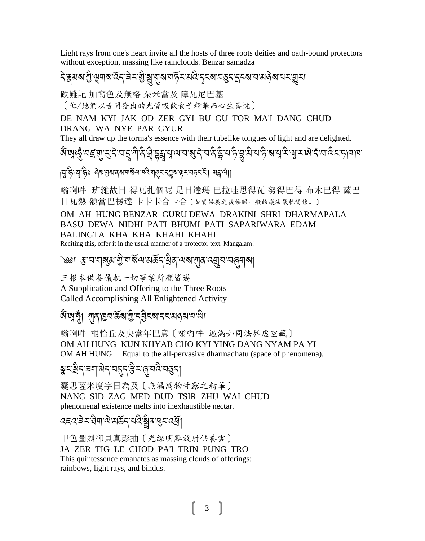Light rays from one's heart invite all the hosts of three roots deities and oath-bound protectors without exception, massing like rainclouds. Benzar samadza

# <u>၎</u>ិสมสาขิชุมสานักจะ อิษัตร์ มีสาม และ มีสามารถ เปลี่ยน มีสามารถ เปลี่ยน

跌難記 加窩色及無格 朵米當及 障瓦尼巴基

[他/她們以舌間發出的光管吸飲食子精華而心生喜悅]

DE NAM KYI JAK OD ZER GYI BU GU TOR MA'I DANG CHUD DRANG WA NYE PAR GYUR

They all draw up the torma's essence with their tubelike tongues of light and are delighted.

।पुर्दे,पुर्दुश्केः लेषाञ्जूषावबागञ्जूषावदेयालुमानुषुबाक्षमाञ्जनमा अङ्गया।

嗡啊吽 班雜故日 得瓦扎個呢 是日達瑪 巴拉哇思得瓦 努得巴得 布木巴得 薩巴 日瓦熱 額當巴楞達 卡卡卡合卡合 〔如實供養之後按照一般的護法儀軌實修。〕

#### OM AH HUNG BENZAR GURU DEWA DRAKINI SHRI DHARMAPALA BASU DEWA NIDHI PATI BHUMI PATI SAPARIWARA EDAM BALINGTA KHA KHA KHAHI KHAHI

Reciting this, offer it in the usual manner of a protector text. Mangalam!

৩খ। *হ* অৰাৰ্যম হীৰাধ্যমন্ত্ৰীৰ বিধান পৰি প্ৰীপন্থা

三根本供養儀軌一切事業所願皆遂

A Supplication and Offering to the Three Roots Called Accomplishing All Enlightened Activity

## জিজ্বত্ত্বা বাৰাগুনউৰাত্ৰীবৰ্ত্ত্বাৰ্ত্ত্বাৰাজ্য

嗡啊吽 根恰丘及央當年巴意〔嗡啊吽 遍满如同法界虚空藏〕 OM AH HUNG KUN KHYAB CHO KYI YING DANG NYAM PA YI OM AH HUNG Equal to the all-pervasive dharmadhatu (space of phenomena),

## ब्रूट्बेन्'बग'सेन्'यतुन्'ईर (ब्'वदे'वहुन्।

囊思薩米度字日為及〔無漏萬物甘露之精華〕 NANG SID ZAG MED DUD TSIR ZHU WAI CHUD phenomenal existence melts into inexhaustible nectar.

### *෬*౾౸ౕ౾౽ৼৄয়৾৶ড়ঀৼৢৼ৻ড়ৼড়ৼঢ়ৼঢ়ড়

甲色圖烈卻貝真彭抽〔光線明點放射供養雲〕 JA ZER TIG LE CHOD PA'I TRIN PUNG TRO This quintessence emanates as massing clouds of offerings: rainbows, light rays, and bindus.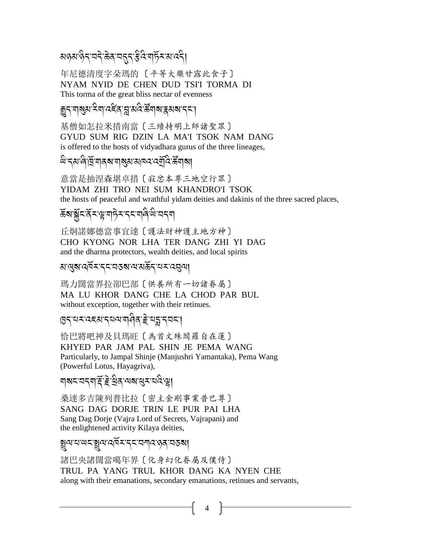### য়ড়য়<sup>৻</sup>ড়ৼৼঢ়ৼড়ৠৼয়ৼঢ়ৼড়ড়৸ড়ৼয়৻ড়৻

年尼德清度字朵瑪的〔平等大樂甘露此食子〕 NYAM NYID DE CHEN DUD TSI'I TORMA DI This torma of the great bliss nectar of evenness

### *ক্ক*ন'মৰ্থম' <sup>ই</sup>মা'ৰ্যইৰ'ব্ল'মৰ্থ উন্নাৰ ক্লিমৰ বিদ্যা

基僧如怎拉米措南當〔三續持明上師諸聖眾〕 GYUD SUM RIG DZIN LA MA'I TSOK NAM DANG is offered to the hosts of vidyadhara gurus of the three lineages,

#### *धे* 'दुस'ले'प्रॅ 'यादब'याबुस'सावद द्युदि र्हेयाबा

意當是抽涅森堪卓措〔寂忿本尊三地空行眾〕 YIDAM ZHI TRO NEI SUM KHANDRO'I TSOK the hosts of peaceful and wrathful yidam deities and dakinis of the three sacred places,

## ॾॕॺॱॿॢॕॸॱदॅॸॱय़ॢॱॺऻॸॆॖॸॱॸॸॱॺऻॺऀॱ<sup>ऴ</sup>ॱॺॸॺ

丘炯諾娜德當事宜達〔護法財神護主地方神〕 CHO KYONG NOR LHA TER DANG ZHI YI DAG and the dharma protectors, wealth deities, and local spirits

#### য়<sup>৻</sup>ঀয়ৼ৻ঀ৾য়ৼৼৼৼৼঽয়৻৸য়ড়ৄৼ৻ৼ৸ৼ৻ৼঀ৻৸

瑪力闊當界拉卻巴部〔供養所有一切諸眷屬〕 MA LU KHOR DANG CHE LA CHOD PAR BUL without exception, together with their retinues.

#### हिन्दान्द्रस्य न्यत्याबविद् इत्यङ्गन्तन्त

恰巴將吧神及貝瑪旺〔為首文殊閻羅自在蓮〕 KHYED PAR JAM PAL SHIN JE PEMA WANG Particularly, to Jampal Shinje (Manjushri Yamantaka), Pema Wang (Powerful Lotus, Hayagriva),

### য়য়ৼৼয়ৼয়ড়ৼড়ড়ড়৸

桑達多吉陳列普比拉〔密主金剛事業普巴尊〕 SANG DAG DORJE TRIN LE PUR PAI LHA Sang Dag Dorje (Vajra Lord of Secrets, Vajrapani) and the enlightened activity Kilaya deities,

#### ৰুণমাজহাৰীৰ <u>প্ৰত্যা</u>ত্ত্বীৰ প্ৰত্যা

諸巴央諸闊當噶年界〔化身幻化眷屬及僕侍〕 TRUL PA YANG TRUL KHOR DANG KA NYEN CHE along with their emanations, secondary emanations, retinues and servants,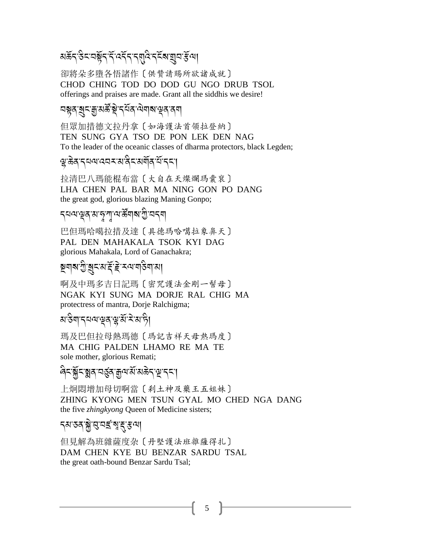য়ড়৴৻ঽৼয়৾য়ৼ৻ৼ৻ৼ৻ৼ৻য়৻৻ৼ৻ৼৢৼ৻য়৾য়৸৻ঽ৻৸

卻將朵多墮各悟諸作〔供贊請賜所欲諸成就〕 CHOD CHING TOD DO DOD GU NGO DRUB TSOL offerings and praises are made. Grant all the siddhis we desire!

#### *ম*য়ুৰ্'ৰ্মুমন্ত্ৰীয় বিত্ৰব্বি বিশিষ্ট বিদ্ৰা

但眾加措德文拉丹拿〔如海護法首領拉登納〕 TEN SUNG GYA TSO DE PON LEK DEN NAG To the leader of the oceanic classes of dharma protectors, black Legden;

#### ৠৢ<sup>৻</sup>ঌঽ<sup>৻</sup>৲য়য়ড়য়য়য়৸য়৸য়৸ঢ়ঢ়ঢ়

拉清巴八瑪能棍布當〔大自在天燦爛瑪囊衮〕 LHA CHEN PAL BAR MA NING GON PO DANG the great god, glorious blazing Maning Gonpo;

#### *৲*নন্দখৰ মান্সুশু নাৰীৰ স্মৃতী বৰ্ম

巴但瑪哈噶拉措及達〔具德瑪哈噶拉象鼻天〕 PAL DEN MAHAKALA TSOK KYI DAG glorious Mahakala, Lord of Ganachakra;

### ষ্টুশৰাত্মীৰ বিদ্ৰালয় কৰা বিদ্যালয়।

啊及中瑪多吉日記瑪〔密咒護法金剛一髻母〕 NGAK KYI SUNG MA DORJE RAL CHIG MA protectress of mantra, Dorje Ralchigma;

### য়ৼৢ৶৸ৼঀৼ৻ড়ঀ৻ৼ৻ৼ৻৸৻৸

瑪及巴但拉母熱瑪德〔瑪記吉祥天母熱瑪度〕 MA CHIG PALDEN LHAMO RE MA TE sole mother, glorious Remati;

### <sub>'</sub>ৰিনয়ুঁনয়ুৰ নৰ্ত্তুৰ ক্ৰুণখনি অক্টন'মূদন।

上炯悶增加母切啊當〔刹土神及藥王五姐妹〕 ZHING KYONG MEN TSUN GYAL MO CHED NGA DANG the five *zhingkyong* Queen of Medicine sisters;

### ঀয়ৼয়ৣ৾ঀৢৼৼ৻৸ৼ৻৸

但見解為班雜薩度杂〔丹堅護法班雜薩得扎〕 DAM CHEN KYE BU BENZAR SARDU TSAL the great oath-bound Benzar Sardu Tsal;

5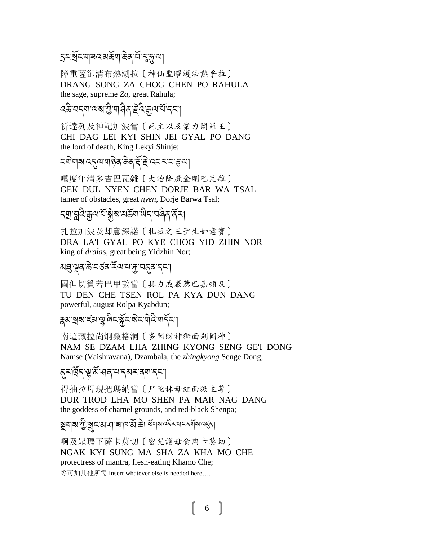### *ॸॖॸ*ॱॺॖॕॸॱॺऻॾय़ॎॶख़ॖॴॷॷॱॷॱॷॱॴ

障重薩卻清布熱湖拉〔神仙聖曜護法熱乎拉〕 DRANG SONG ZA CHOG CHEN PO RAHULA the sage, supreme Za, great Rahula;

### *द*ङे घदवा यहा गुपा विव हे दे कुय ये दया

祈達列及神記加波當〔死主以及業力閻羅王〕 CHI DAG LEI KYI SHIN JEI GYAL PO DANG the lord of death, King Lekyi Shinje;

#### 

噶度年清多吉巴瓦雜〔大治降魔金剛巴瓦雜〕 GEK DUL NYEN CHEN DORJE BAR WA TSAL tamer of obstacles, great nyen, Dorje Barwa Tsal;

### ঀয়ৣৼয়ৢ৻ৼ৻ৼ৻ৼৣৼ৻ৼ৻ৼ৻৸ৼ৻ৼ৻৸ৼ৻৸ৼ৻৸

扎拉加波及却意深諾〔扎拉之王聖生如意寶〕 DRA LA'I GYAL PO KYE CHOG YID ZHIN NOR king of *dralas*, great being Yidzhin Nor;

#### য়য়ড়য়ড়ৼড়ৼ৻৸ৼ৸ৼ৸ৼ৸ৼ৸ৼ

圖但切贊若巴甲敦當〔具力威嚴惹巴嘉頓及〕 TU DEN CHE TSEN ROL PA KYA DUN DANG powerful, august Rolpa Kyabdun;

#### हराञ्चबाद्याञ्चलिनञ्जनस्य विज्ञन्ति।

南這藏拉尚炯桑格洞〔多聞財神獅面剎圖神〕 NAM SE DZAM LHA ZHING KYONG SENG GE'I DONG Namse (Vaishravana), Dzambala, the *zhingkyong* Senge Dong,

### **त्-खिन्'ञ्ज़'र्से'-वव्र'-पत्रम्'वया'न्**न्'।

得抽拉母現把瑪納當〔尸陀林母紅面獄主尊〕 DUR TROD LHA MO SHEN PA MAR NAG DANG the goddess of charnel grounds, and red-black Shenpa;

# ষ্ণবাৰা শ্ৰীৰোন্য বাৰা মাজ্য জ্ঞানৰ বিৰোধ কৰি বিৰোধ

啊及眾瑪下薩卡莫切〔密咒護母食肉卡莫切〕 NGAK KYI SUNG MA SHA ZA KHA MO CHE protectress of mantra, flesh-eating Khamo Che;

等可加其他所需 insert whatever else is needed here....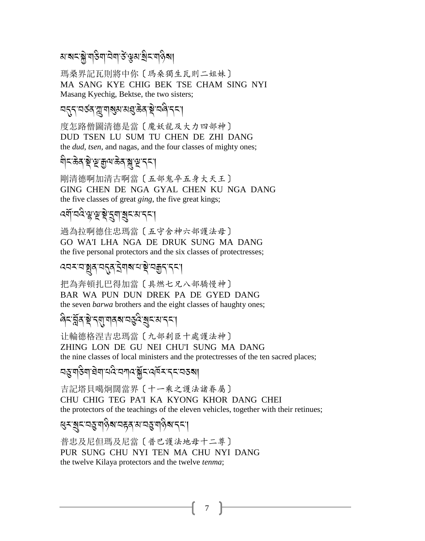### য়**ॱয়ৼ**ॱয়ৢ৾ॱয়৾৾<del>ঽ</del>য়৾ৗঽয়৾ৼড়য়ৼয়৸ড়য়

瑪桑界記瓦則將中你〔瑪桑獨生瓦則二姐妹〕 MA SANG KYE CHIG BEK TSE CHAM SING NYI Masang Kyechig, Bektse, the two sisters;

### <u>ॸड़</u>ड़ॱॸॐॷग़ॴख़ॶॷॷॷॱॷॷड़ड़

度怎路僧圖清德是當〔魔妖龍及大力四部神〕 DUD TSEN LU SUM TU CHEN DE ZHI DANG the *dud*, *tsen*, and nagas, and the four classes of mighty ones;

### য়৾ঢ়ড়ৢঀ৾ৼড়ড়ৗড়৻ড়ৢৼ৻ড়৻ড়৻

剛清德啊加清古啊當〔五部鬼卒五身大天王〕 GING CHEN DE NGA GYAL CHEN KU NGA DANG the five classes of great *ging*, the five great kings;

## <u>ৰ্ম্মনবিস্</u>পুস্থই ইন্মন্থ প্ৰৱেশ বৰ্ষ।

過為拉啊德住忠瑪當〔五守舍神六部護法母〕 GO WA'I LHA NGA DE DRUK SUNG MA DANG the five personal protectors and the six classes of protectresses;

### ෬෬ඁৼ෨ඁ෯෯෪෮෫෮෫෮෫෮෫෮෫෦෮෪෪෫෦෬෪෪෫෦෫෬෦

把為奔頓扎巴得加當〔具燃七兄八部驕慢神〕 BAR WA PUN DUN DREK PA DE GYED DANG the seven *barwa* brothers and the eight classes of haughty ones;

### ৰিনপ্লিৰ শ্ল'ব্য়াশৰৰ নত্ত্ব ৰূন মাননা

计輪德格涅吉忠瑪當〔九部剎臣十處護法神〕 ZHING LON DE GU NEI CHU'I SUNG MA DANG the nine classes of local ministers and the protectresses of the ten sacred places;

## <u> বহুত্রাইনারিনার্থই বিশিষ্ট্রবিদ্রাইন বিশেষ করা</u>

吉記塔貝噶炯闊當界〔十一乘之護法諸眷屬〕 CHU CHIG TEG PA'I KA KYONG KHOR DANG CHEI the protectors of the teachings of the eleven vehicles, together with their retinues;

## ୡଽ୕ୣୣଽଽ୴ୡ୴ଡ଼ଵଽ୲ଽୡ୰୴ୡ୴ଢ଼ଌ୲୳ଽୄ

普忠及尼但瑪及尼當〔普巴護法地母十二尊〕 PUR SUNG CHU NYI TEN MA CHU NYI DANG the twelve Kilaya protectors and the twelve tenma;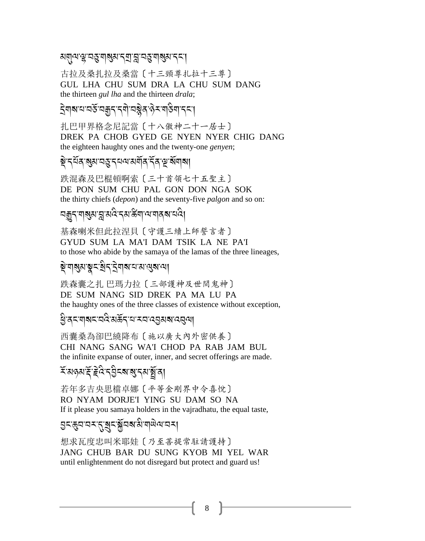#### য়য়ঢ়৸ড়ৢ৾ৼঽড়ৢৼয়ৠয়ৼৼয়৻ড়য়ৼঀৼঢ়৸

古拉及桑扎拉及桑當〔十三頸尊扎拉十三尊〕 GUL LHA CHU SUM DRA LA CHU SUM DANG the thirteen *gul lha* and the thirteen *drala*;

## द्रेगबायायङॅ यक्करादयो यञ्जेव लेनायडिया दन्।

扎巴甲界格念尼記當 〔十八傲神二十一居士〕 DREK PA CHOB GYED GE NYEN NYER CHIG DANG the eighteen haughty ones and the twenty-one genyen;

#### য়ৢ৾ৼঀয়য়ৼয়৻য়ৼঀৢৼঀ৸৻৸য়য়ঀ৻ৼ৻ড়৻য়য়৻

跌混森及巴棍頓啊索〔三十首領七十五聖主〕 DE PON SUM CHU PAL GON DON NGA SOK the thirty chiefs (*depon*) and the seventy-five *palgon* and so on:

#### <u>ଘ୍ଟୁମ୍ୟାଷ୍ଠ</u>୍ୟାଂଖ୍ୟାନ୍ତ୍ୟାଙ୍କିସାଂସ୍ଥାବି । ଏହା

基森喇米但此拉涅貝〔守護三續上師誓言者〕 GYUD SUM LA MA'I DAM TSIK LA NE PA'I to those who abide by the samaya of the lamas of the three lineages,

## য়ৢ৾৽ঀয়ৣয়ৼৢৼৼ৻য়৸ৼঀৢৼঀড়৻৸ড়ৼৗৢৼ৻৸

跌森囊之扎 巴瑪力拉〔三部護神及世間鬼神〕 DE SUM NANG SID DREK PA MA LU PA the haughty ones of the three classes of existence without exception,

#### धुः दयाराययः अर्केदः यामयाद्युस**रा** द्वया

西囊桑為卻巴繞降布〔施以廣大內外密供養〕 CHI NANG SANG WA'I CHOD PA RAB JAM BUL the infinite expanse of outer, inner, and secret offerings are made.

## <del>ॕ</del>ॱॺढ़ॺॱड़ॕॱॾॆ<sup>ৡ</sup>ॸड़ऀड़ॺॱॺॖॱॸॺॱॺॕॖॱॺऻ

若年多吉央思檔卓娜 [平等金剛界中令喜悅] RO NYAM DORJE'I YING SU DAM SO NA If it please you samaya holders in the vajradhatu, the equal taste,

### 

想求瓦度忠叫米耶娃〔乃至菩提常駐請護持〕 JANG CHUB BAR DU SUNG KYOB MI YEL WAR until enlightenment do not disregard but protect and guard us!

8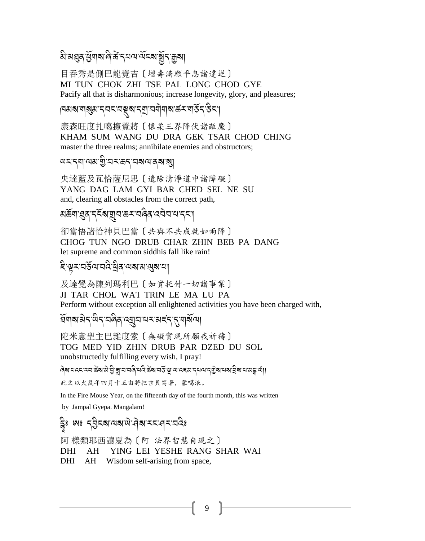### ঌ৾ॱয়য়ৢঽ৾ড়ৢয়৶ড়ড়ৣৼৣৼ৻ড়৻ড়৻ড়৻ড়৻ড়৻ড়

目吞秀是側巴龍覺吉〔增壽滿願平息諸違逆〕 MI TUN CHOK ZHI TSE PAL LONG CHOD GYE Pacify all that is disharmonious; increase longevity, glory, and pleasures;

## ऻॎॶॴॴॾऀॴॳॎऻॾॾॾऻॾऻॾऻॳॳॳॳॳॳॳॳॳ

康森旺度扎噶擦覺將〔懷柔三界降伏諸敵魔〕 KHAM SUM WANG DU DRA GEK TSAR CHOD CHING master the three realms; annihilate enemies and obstructors;

#### *অমন্*যান্ত্ৰীয়মক্ৰন্ত্ৰৰ অৱ্যা

央達藍及瓦恰薩尼思〔遣除清淨道中諸障礙〕 YANG DAG LAM GYI BAR CHED SEL NE SU and, clearing all obstacles from the correct path,

## য়ড়৸য়ঀৼৼৼৼ৸য়৸ৼ৽ৼ৻ড়ঀ৸ড়৸ৼ৸ৼ

卻當悟諸恰神貝巴當〔共與不共成就如雨降〕 CHOG TUN NGO DRUB CHAR ZHIN BEB PA DANG let supreme and common siddhis fall like rain!

#### ইঞ্চবর্তুঅঅবক্ট্রব্র অব্যান্ত্রেরা

及達覺為陳列瑪利巴〔如實托付一切諸事業〕 JI TAR CHOL WA'I TRIN LE MA LU PA Perform without exception all enlightened activities you have been charged with,

### ऀ॔য়য়য়৾*ঽৼড়ৼৼড়ড়ৼড়ড়ড়ড়ড়ড়ড়ড়ড়ড়ড়ড়ড়ড়ড়ড়ড়ড়ড়ড়ড়ড়ড়ড়ড়ড়ড়*

陀米意聖主巴雜度索〔無礙實現所願我祈禱〕 TOG MED YID ZHIN DRUB PAR DZED DU SOL unobstructedly fulfilling every wish, I pray!

៲ สิส ผสร รม สัส มิชิ สุ ผมส์ ผลัง สัส ผลัง สุ ผมสรม รุม พรราช สุ สุ ผมสร

此文以火鼠年四月十五由將把吉貝寫著,蒙噶浪。

In the Fire Mouse Year, on the fifteenth day of the fourth month, this was written

by Jampal Gyepa. Mangalam!

### ट्वेः ७: दर्वेदबायबालेयामदान्यवैः

阿 樣類耶西讓夏為〔阿 法界智慧自現之〕 YING LEI YESHE RANG SHAR WAI **DHI**  $AH$ **DHI** AH Wisdom self-arising from space,

9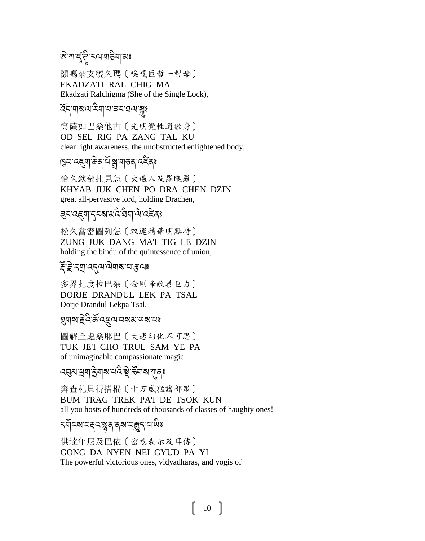*জ*পাৰ্হু'ল মন্মৰাইনামঃ

額噶杂支繞久瑪〔唉嘎匝哲一髻母〕 EKADZATI RAL CHIG MA Ekadzati Ralchigma (She of the Single Lock),

#### হিন'নাৰাম'মিন'ম'ৰম'ৰম'ৰ

窩薩如巴桑他古〔光明覺性通徹身〕 OD SEL RIG PA ZANG TAL KU clear light awareness, the unobstructed enlightened body,

#### 

恰久欽部扎見怎〔大遍入及羅睺羅〕 KHYAB JUK CHEN PO DRA CHEN DZIN great all-pervasive lord, holding Drachen,

### 

松久當密圖列怎〔双運精華明點持〕 ZUNG JUK DANG MA'I TIG LE DZIN holding the bindu of the quintessence of union,

#### ट्टिन् वादनुवाले वारा सुवा

多界扎度拉巴杂〔金剛降敵善巨力〕 DORJE DRANDUL LEK PA TSAL Dorje Drandul Lekpa Tsal,

#### 

圖解丘處桑耶巴〔大悲幻化不可思〕 TUK JE'I CHO TRUL SAM YE PA of unimaginable compassionate magic:

## *෬*ड़ॺॱख़ॺॱड़ॆॺऻ**ॺॱ**¤ঽऀॱऄॖॱढ़ऀ॔ॺऻ**ॺ**ॱग़ऻॖढ़<mark>ॱ</mark>

奔查札貝得措棍〔十万威猛諸部眾〕 BUM TRAG TREK PA'I DE TSOK KUN all you hosts of hundreds of thousands of classes of haughty ones!

### *ॸॣ*ॺॕऻ॒ॸ**ॴ**ॼॾ॔ॳॾख़ख़ख़ख़ख़ख़ख़

供達年尼及巴依〔密意表示及耳傳〕 GONG DA NYEN NEI GYUD PA YI The powerful victorious ones, vidyadharas, and yogis of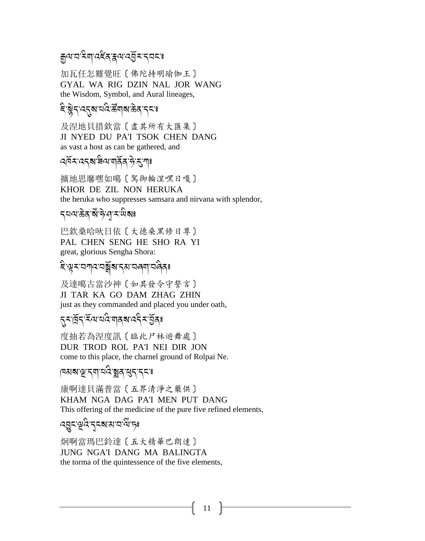## য়৸য়ৼৢয়৾৸ৼৼৄঀৼ৸৻ৼঀ৻ৼ৻ৼ৻ৼ

加瓦任怎難覺旺〔佛陀持明瑜伽王〕 GYAL WA RIG DZIN NAL JOR WANG the Wisdom, Symbol, and Aural lineages,

### *दि*श्लेन दत्**य** पदि क्षेत्र केव न्य

及涅地貝措欽當〔盡其所有大匯集〕 JI NYED DU PA'I TSOK CHEN DANG as vast a host as can be gathered, and

#### ঀঀয়ৼ৻৻ঽৼ৻য়ৢ৻৸৻৸৻৸৻৸৻৸৻৸৻৸৻

擴地思摩嘿如噶〔駕御輪涅嘿日嘎〕 KHOR DE ZIL NON HERUKA the heruka who suppresses samsara and nirvana with splendor,

*ॸ*य़ॺॱक़ॆॺॱॺऀॱॸऀॱঀৢॱॸॱ<sup>ऴ</sup>ॺঃ

巴欽桑哈吠日依〔大德桑黑修日尊〕 PAL CHEN SENG HE SHO RA YI great, glorious Sengha Shora:

### ଽୄ୕ୣଌଽଽସ୩ୡଽୠୢୢୢୖ୕ୄଵଽଽ୳ଽ୲ଽ୲୳୳ୡୠଽ

及達噶古當沙神〔如其發令守誓言〕 JI TAR KA GO DAM ZHAG ZHIN just as they commanded and placed you under oath,

#### <u>য়য়ড়৻ৼৄ</u>৻ৼ৻৸ৼ৻ড়৻৸ড়৸৻৻ৼ৻য়৸

度抽若為涅度訊〔臨此尸林遊舞處〕 DUR TROD ROL PA'I NEI DIR JON come to this place, the charnel ground of Rolpai Ne.

## नियबान्नु दया चर्दे ब्ला सुदाददा

康啊達貝滿普當 [五界清淨之藥供] KHAM NGA DAG PA'I MEN PUT DANG This offering of the medicine of the pure five refined elements,

$$
\mathcal{R}_{\text{G}} = \mathcal{R}_{\text{G}} = \mathcal{R}_{\text{G}} = \mathcal{R}_{\text{G}} = \mathcal{R}_{\text{G}}
$$

炯啊當瑪巴鈴達〔五大精華巴朗達〕 JUNG NGA'I DANG MA BALINGTA the torma of the quintessence of the five elements,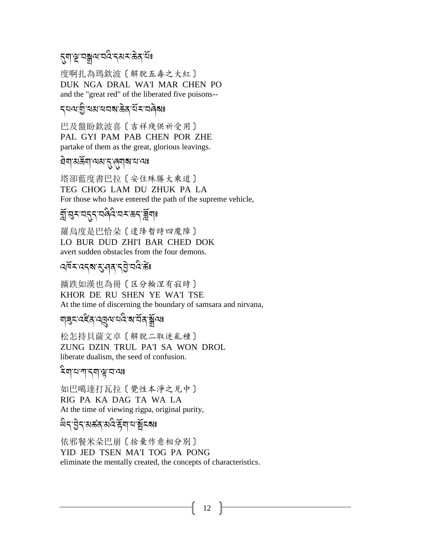## <sub>ঌ</sub>য়ৼৄয়য়৸ৼঢ়ড়ৼড়ড়ৼড়৻

度啊扎為瑪欽波〔解脫五毒之大紅〕 DUK NGA DRAL WA'I MAR CHEN PO and the "great red" of the liberated five poisons--

#### *ร*ุผม ติ ผม ผลสง สิ้น สาราสิ

巴及盤盼欽波喜〔吉祥殘供祈受用〕 PAL GYI PAM PAB CHEN POR ZHE partake of them as the great, glorious leavings.

#### <u>ସି</u>ଘ୍ୟା ଅକ୍ଷିମ୍ୟା ସଂସ୍କୃଷ୍ଟ । ଏକ

塔卻藍度書巴拉〔安住殊勝大乘道〕 TEG CHOG LAM DU ZHUK PA LA For those who have entered the path of the supreme vehicle,

## য়ৣ৾৾ॱয়ৼয়ঀঀৼয়ড়৻ৼৗৢৼড়ৼ৻ৼয়৻

羅烏度是巴恰朵〔遣降暫時四魔障〕 LO BUR DUD ZHI'I BAR CHED DOK avert sudden obstacles from the four demons.

### ෬ॺॕॸॱढ़ॸॺॱड़ॱॶॺॱॸऄॗॱय़ढ़ऀॱॾऀਃ

擴跌如漢也為冊〔区分輪涅有寂時〕 KHOR DE RU SHEN YE WA'I TSE At the time of discerning the boundary of samsara and nirvana,

#### য়**৾**য়ৼ৻ৼৼৄৼ৸ড়ৗ৻৸৻৸৻৸৻৸ৼ৸ৼ৸

松怎持貝薩文卓〔解脫二取迷亂種〕 ZUNG DZIN TRUL PA'I SA WON DROL liberate dualism, the seed of confusion.

#### ঽয়ৼৼয়ৼঀ

如巴噶達打瓦拉〔覺性本淨之見中〕 RIG PA KA DAG TA WA LA At the time of viewing rigpa, original purity,

### *ড়ঽ*ॱऄॖ॒৴য়ড়৶ৼঀড়৻ড়৻ড়৻ড়৻ড়য়ৼঢ়ঢ়ঢ়ঢ়ঢ়ঢ়ঢ়ঢ়ড়ড়৻ড়

依邪餐米朵巴崩〔捨棄作意相分別〕 YID JED TSEN MA'I TOG PA PONG eliminate the mentally created, the concepts of characteristics.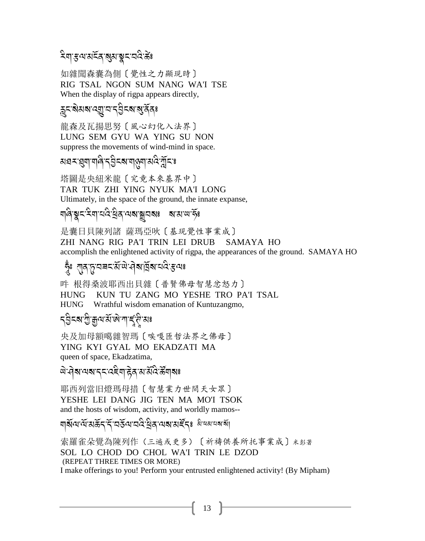### ঽয়ড়৻য়য়ৼড়য়য়৸ৼঢ়ড়ৼ

如雜聞森囊為側〔覺性之力顯現時〕 RIG TSAL NGON SUM NANG WA'I TSE When the display of rigpa appears directly,

### ক্লবর্মমান্মূত্র বুটব্রা বুর্ন্ত বিঃ

龍森及瓦揚思努〔風心幻化入法界〕 LUNG SEM GYU WA YING SU NON suppress the movements of wind-mind in space.

### য়য়ৼয়য়৸ড়৻ৼঢ়ড়ৼয়৻ড়য়ঢ়৸ড়ড়ড়ৼ

塔圖是央紐米龍〔究竟本來基界中〕 TAR TUK ZHI YING NYUK MA'I LONG Ultimately, in the space of the ground, the innate expanse,

### 

是囊日貝陳列諸 薩瑪亞吙〔基現覺性事業成〕 ZHI NANG RIG PA'I TRIN LEI DRUB SAMAYA HO accomplish the enlightened activity of rigpa, the appearances of the ground. SAMAYA HO

### স্কৃঃ বাৰাসমৰ মন্ত্ৰিয়াৰ পৰি প্ৰয়ো

吽 根得桑波耶西出貝雜〔普賢佛母智慧忿怒力〕 KUN TU ZANG MO YESHE TRO PA'I TSAL **HUNG** Wrathful wisdom emanation of Kuntuzangmo, **HUNG** 

#### ঀৣঽৼৼয়ৗৣয়ৣড়ৼঀৗৢৼ৻ড়ৢৼ৻ড়৻

央及加母額噶雜智瑪〔唉嘎匝哲法界之佛母〕 YING KYI GYAL MO EKADZATI MA queen of space, Ekadzatima,

### *¤* विद्यालबाद्ददवी हेवाओं वैदि के बाब

耶西列當旧燈瑪母措〔智慧業力世間天女眾〕 YESHE LEI DANG JIG TEN MA MO'I TSOK and the hosts of wisdom, activity, and worldly mamos--

## যাৰ্থ্যব্যপ্ৰসূৰ্ত্ত প্ৰসূত্ৰ প্ৰয়োগ আৰু বিষ্ণা আৰু বিষ্ণা কৰি

索羅雀朵覺為陳列作(三遍或更多)〔祈禱供養所托事業成〕\*彭著 SOL LO CHOD DO CHOL WA'I TRIN LE DZOD (REPEAT THREE TIMES OR MORE) I make offerings to you! Perform your entrusted enlightened activity! (By Mipham)

13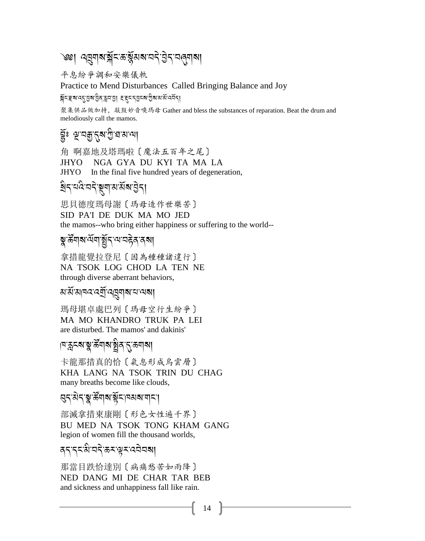## <sup>৩৩</sup>। পর্যনাথয়ুঁ<জপ্পুঁমৰামণ্*ই*ৰ্ণমণ্ৰা

平息紛爭調和安樂儀軌

Practice to Mend Disturbances Called Bringing Balance and Joy

মুঁনইস্বর্থিয়াট্রিউনএ হাইনটাইস্মান্ত্র্যুগ্রন্থ

聚集供品做加持, 敲鼓妙音喚瑪母 Gather and bless the substances of reparation. Beat the drum and melodiously call the mamos.

### হ্রুঃ প্রুবক্কুদ্নমাত্রীপ্রস্নাম্য

角 啊嘉地及塔瑪啦〔魔法五百年之尾〕 NGA GYA DU KYI TA MA LA **IHYO** JHYO In the final five hundred years of degeneration,

## য়৸ৼঢ়ড়ৠয়ড়য়ড়৻৸

思貝德度瑪母謝〔瑪母造作世樂苦〕 SID PA'I DE DUK MA MO JED the mamos--who bring either happiness or suffering to the world--

### য়ৢ৾<sup>৽</sup>য়য়য়ড়য়য়ড়ড়য়৸

拿措龍覺拉登尼〔因為種種諸違行〕 NA TSOK LOG CHOD LA TEN NE through diverse aberrant behaviors,

#### ম'র্ম'মানব'বর্মী'বন্নুনাৰা'ন'নাৰা।

瑪母堪卓處巴列〔瑪母空行生紛爭〕 MA MO KHANDRO TRUK PA LEI are disturbed. The mamos' and dakinis'

### ।শক্কুক্ম'ক্সু'ৰ্স্কঁশৰু ষ্ট্ৰীৰ'ন্<sup>কে</sup>শৰ্মা

卡龍那措真的恰〔氣息形成烏雲層〕 KHA LANG NA TSOK TRIN DU CHAG many breaths become like clouds,

### য়ঀৼয়৾ঀৼৢৼ৾য়য়ড়ড়য়ৼঢ়ড়ড়য়ড়ঢ়য়

部滅拿措東康剛〔形色女性遍千界〕 BU MED NA TSOK TONG KHAM GANG legion of women fill the thousand worlds,

### ৰ্দাদমখাননীক্ষাঞ্চাৰেনীয় বিদ্যা

那當目跌恰達別〔病痛愁苦如雨降〕 NED DANG MI DE CHAR TAR BEB and sickness and unhappiness fall like rain.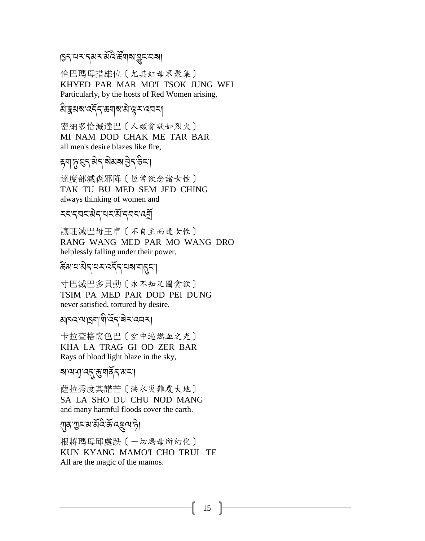## ৪২.বৰ-পূত্ৰ সম্পৰ্কী সম্পৰ্কী

恰巴瑪母措雄位〔尤其紅母眾聚集〕 KHYED PAR MAR MO'I TSOK JUNG WEI Particularly, by the hosts of Red Women arising,

## ক<br>মিদ্কুমৰা বৰ্ণনাক্ষাৰাঞ্জাৰ বেনা

密納多恰滅達巴〔人類貪欲如烈火〕 MI NAM DOD CHAK ME TAR BAR all men's desire blazes like fire,

## ह्याफ़्'सुद्गअेदाबेखबाडेुदाउैदा।

達度部滅森邪降〔恆常欲念諸女性〕 TAK TU BU MED SEM JED CHING always thinking of women and

## รรรุสรามิรามา สำราช สุ

讓旺滅巴母王卓〔不自主而隨女性〕 RANG WANG MED PAR MO WANG DRO helplessly falling under their power,

## ू<br>क्रेंबायाबेदायमादम्य बालुमा

寸巴滅巴多貝動〔永不知足圖貪欲〕 TSIM PA MED PAR DOD PEI DUNG never satisfied, tortured by desire.

#### ચ|વ્વવ્ય|વ્રુવ|ચે,હૂર,ਭૂ*-*...<br>পা J

卡拉查格窩色巴〔空中遍燃血之光〕 KHA LA TRAG GI OD ZER BAR Rays of blood light blaze in the sky,

### ৰ'ম্ম'নু'ৰ্ব্মুম্বৰ্ব্মৰ'|

薩拉秀度其諾芒〔洪水災難覆大地〕 SA LA SHO DU CHU NOD MANG and many harmful floods cover the earth.

# ্লব <u>অৰ্ক্ষই ব্ৰ</u>ন্ম দী

根將瑪母邱處跌〔一切瑪母所幻化〕 KUN KYANG MAMO'I CHO TRUL TE All are the magic of the mamos.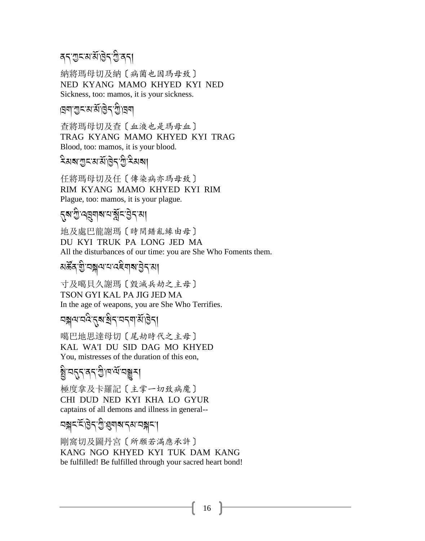#### ৰন'<u>শ</u>ুন'ম'ৰ্মাট্টন'শ্ৰী'ৰন। J

納將瑪母切及納〔病菌也因瑪母致〕 NED KYANG MAMO KHYED KYI NED Sickness, too: mamos, it is your sickness.

#### $\mathbb B$ না এীসেপ্তে প্রাপ্ত প্রিয়ন J

查將瑪母切及查〔血液也是瑪母血〕 TRAG KYANG MAMO KHYED KYI TRAG Blood, too: mamos, it is your blood.

#### ়<br>মন্ত্ৰাৰাজ্যৰ কৰি বিদ্যালয় কৰি বিদ্যালয়।<br>মন্ত্ৰাজ্যৰ কৰি বিদ্যালয় কৰি বিদ্যালয় কৰি বিদ্যালয় কৰি বিদ্যালয় কৰি A

任將瑪母切及任〔傳染病亦瑪母致〕 RIM KYANG MAMO KHYED KYI RIM Plague, too: mamos, it is your plague.

# ়<br>নুৰু গ্ৰুপৰুষ বাৰ্ষু নাৰী বিশিষ্টি

地及處巴龍謝瑪〔時間錯亂緣由母〕 DU KYI TRUK PA LONG JED MA All the disturbances of our time: you are She Who Foments them.

## মৰ্স্কু<br>মৰ্ক্টৰ'ম্ৰীয়েস্কুলমে বেইমাৰ ট্ৰিৰ'মা

寸及噶貝久謝瑪〔毀滅兵劫之主母〕 TSON GYI KAL PA JIG JED MA In the age of weapons, you are She Who Terrifies.

## <u> বক্স</u>ন্মর্বর্তমেন কর্মাণ্ডন।

噶巴地思達母切〔尾劫時代之主母〕 KAL WA'I DU SID DAG MO KHYED You, mistresses of the duration of this eon,

# ক<br>বিভিন্ন প্ৰযোগ কৰা হৈছে।<br>প্ৰযোগ কৰা হৈছে বিভিন্ন প্ৰযোগ কৰা হৈছে সময়ত বিভিন্ন কৰা হৈছে সময়ত বিভিন্ন প্ৰযোগ কৰ

極度拿及卡羅記〔主掌一切致病魔〕 CHI DUD NED KYI KHA LO GYUR captains of all demons and illness in general--

$$
\mathbb{E}[\mathbb{E}[\mathbb{E}[\mathbb{E}[\mathbb{E}[\mathbb{E}[\mathbb{E}[\mathbb{E}[\mathbb{E}[\mathbb{E}[\mathbb{E}[\mathbb{E}[\mathbb{E}[\mathbb{E}[\mathbb{E}[\mathbb{E}[\mathbb{E}[\mathbb{E}[\mathbb{E}[\mathbb{E}[\mathbb{E}[\mathbb{E}[\mathbb{E}[\mathbb{E}[\mathbb{E}[\mathbb{E}[\mathbb{E}[\mathbb{E}[\mathbb{E}[\mathbb{E}[\mathbb{E}[\mathbb{E}[\mathbb{E}[\mathbb{E}[\mathbb{E}[\mathbb{E}[\mathbb{E}[\mathbb{E}[\mathbb{E}[\mathbb{E}[\mathbb{E}[\mathbb{E}[\mathbb{E}[\mathbb{E}[\mathbb{E}[\mathbb{E}[\mathbb{E}[\mathbb{E}[\mathbb{E}[\mathbb{E}[\mathbb{E}[\mathbb{E}[\mathbb{E}[\mathbb{E}[\mathbb{E}[\mathbb{E}[\mathbb{E}[\mathbb{E}[\mathbb{E}[\mathbb{E}[\mathbb{E}[\mathbb{E}[\mathbb{E}[\mathbb{E}[\mathbb{E}[\mathbb{E}[\mathbb{E}[\mathbb{E}[\mathbb{E}[\mathbb{E}[\mathbb{E}[\mathbb{E}[\mathbb{E}[\mathbb{E}[\mathbb{E}[\mathbb{E}[\mathbb{E}[\mathbb{E}[\mathbb{E}[\mathbb{E}[\mathbb{E}[\mathbb{E}[\mathbb{E}[\mathbb{E}[\mathbb{E}[\mathbb{E}[\mathbb{E}[\mathbb{E}[\mathbb{E}[\mathbb{E}[\mathbb{E}[\mathbb{E}[\mathbb{E}[\mathbb{E}[\mathbb{E}[\mathbb{E}[\mathbb{E}[\mathbb{E}[\mathbb{E}[\mathbb{E}[\mathbb{E}[\mathbb{E}[\mathbb{E}[\mathbb{E}[\mathbb{E}[\mathbb{E}[\mathbb{E}[\mathbb{E}[\mathbb{E}[\mathbb{E}[\mathbb{E}[\mathbb{E}[\mathbb{E}[\mathbb{E}[\mathbb{E}[\mathbb{E}[\mathbb{E}[\mathbb{E}[\mathbb{E}[\mathbb{E}[\mathbb{E}[\mathbb{E}[\mathbb{E}[\mathbb{E}[\mathbb{E}[\mathbb{E}[\mathbb{
$$

剛窩切及圖丹宮〔所願若滿應承許〕 KANG NGO KHYED KYI TUK DAM KANG be fulfilled! Be fulfilled through your sacred heart bond!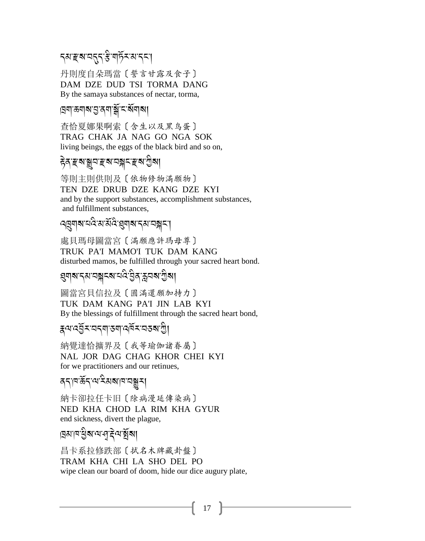## *ॸॺॱॾ*ॺॱॺॸॣॸॱॾऀॱॺऻॸॕॖॸॱॺॱॸॸॱ

丹則度自朵瑪當 [ 誓言甘露及食子] DAM DZE DUD TSI TORMA DANG By the samaya substances of nectar, torma,

## বেশ<sup>-</sup>কশৰ্মান্ত বনাৰ্শ্লি<sup>ন্দৰ্</sup>মৰা

査恰夏娜果啊索〔含生以及黑鸟蛋〕 TRAG CHAK JA NAG GO NGA SOK living beings, the eggs of the black bird and so on,

#### *हे*व हञ ञ्जन हञानञ्जन हञानुवा

等則主則供則及〔依物修物滿願物〕 TEN DZE DRUB DZE KANG DZE KYI and by the support substances, accomplishment substances, and fulfillment substances.

### ঀয়য়য়ৼঢ়৻ৼ৸ৼঀ৻ৼ৻৸৸ৼ৻৸ৼ৸ৼ৸ৼ

處貝瑪母圖當宮〔滿願應許瑪母尊〕 TRUK PA'I MAMO'I TUK DAM KANG disturbed mamos, be fulfilled through your sacred heart bond.

#### য়ৢঀয়ৼ৴য়ৼঽৗৼ৻৸৸৻ৼ৻

圖當宮貝信拉及〔圓滿還願加持力〕 TUK DAM KANG PA'I JIN LAB KYI By the blessings of fulfillment through the sacred heart bond,

ह्वपद्धॅरप्वद्याउषादवॅरप्वरुषाशु

納覺達恰擴界及〔我等瑜伽諸眷屬〕 NAL JOR DAG CHAG KHOR CHEI KYI for we practitioners and our retinues,

### বৃদ্যক্তিদ্বাৰ্থ ইমৰাত্ৰাসমূহ।

納卡卻拉仟卡旧〔除病漫延傳染病〕 NED KHA CHOD LA RIM KHA GYUR end sickness, divert the plague,

### ব্ৰমানন্ত্ৰীৰ অত্মইনা

昌卡系拉修跌部〔拭名木牌藏卦盤〕 TRAM KHA CHI LA SHO DEL PO wipe clean our board of doom, hide our dice augury plate,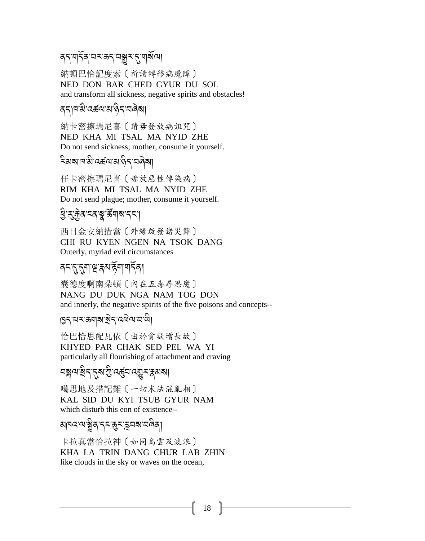### *ଵ*৲ॱঀৗঀয়ৼৼড়ৼৼড়ড়ৼৼ৻ৼঀয়

納頓巴恰記度索〔祈請轉移病魔障〕 NED DON BAR CHED GYUR DU SOL and transform all sickness, negative spirits and obstacles!

### ददावऔदर्ऊवारा हेदाव<mark>ड</mark>़ा

納卡密擦瑪尼喜〔請毋發放病詛咒〕 NED KHA MI TSAL MA NYID ZHE Do not send sickness; mother, consume it yourself.

### **โลงสามา**สิทธิสามา 55 สิง

任卡密擦瑪尼喜 [毋放惡性傳染病] RIM KHA MI TSAL MA NYID ZHE Do not send plague; mother, consume it yourself.

## খ্রী ব্যক্ত ব্যক্ত উন্মান ব্যব্

西日金安納措當〔外緣啟發諸災難〕 CHI RU KYEN NGEN NA TSOK DANG Outerly, myriad evil circumstances

### <u> वन्दुद्गुवाञ्चुद्गुरुविधिक्रमा</u>

囊德度啊南朵頓〔內在五毒尋思魔〕 NANG DU DUK NGA NAM TOG DON and innerly, the negative spirits of the five poisons and concepts--

### ७८८५८ स्थाला बुद्ध व्यव्य वाली

恰巴恰思配瓦依〔由於貪欲增長故〕 KHYED PAR CHAK SED PEL WA YI particularly all flourishing of attachment and craving

# য়ৠ৸য়ৢ৴৴৴য়য়ড়৻ড়ড়৸ড়ড়ৼড়৸

噶思地及措記難〔一切末法混亂相〕 KAL SID DU KYI TSUB GYUR NAM which disturb this eon of existence--

# য়<sub>ঀ</sub>ঽ৵য়৾য়ঀৼৼড়ৼড়৸ৼড়ড়

卡拉真當恰拉神〔如同鳥雲及波浪〕 KHA LA TRIN DANG CHUR LAB ZHIN like clouds in the sky or waves on the ocean,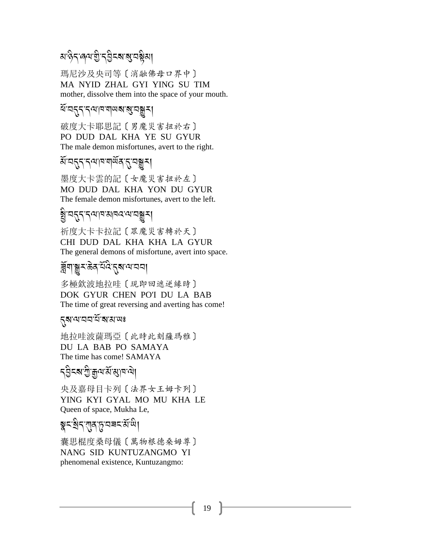#### ara<br>अफ्टित्यालयाची देविदेश अधिको A

瑪尼沙及央司等〔消融佛母口界中〕 MA NYID ZHAL GYI YING SU TIM mother, dissolve them into the space of your mouth.

#### यं वहन नयावयाय राज्ञम

破度大卡耶思記〔男魔災害扭於右〕 PO DUD DAL KHA YE SU GYUR The male demon misfortunes, avert to the right.

#### ऄऀ<sup>ॱ</sup>নব্ন'ব্<sup>যান না</sup>র্অন্'নস্তুম্

墨度大卡雲的記〔女魔災害扭於左〕 MO DUD DAL KHA YON DU GYUR The female demon misfortunes, avert to the left.

# <u>.</u><br>ब्रु.चतुर्,दत्राज्ञायदत्यचङ्गर

祈度大卡卡拉記〔眾魔災害轉於天〕 CHI DUD DAL KHA KHA LA GYUR The general demons of misfortune, avert into space.

# <u>ৰ্</u><br>ব্লুনান্তুমন্তিৰ শবিংনুৰান্মবা

多極欽波地拉哇〔現即回遮逆緣時〕 DOK GYUR CHEN PO'I DU LA BAB The time of great reversing and averting has come!

#### 5ุสาขาวานักสามา

地拉哇波薩瑪亞〔此時此刻薩瑪雅〕 DU LA BAB PO SAMAYA The time has come! SAMAYA

# ়<br>বব্রীব্রা ক্রীপ্রাপ্রাপ্তা ।

央及嘉母目卡列〔法界女王姆卡列〕 YING KYI GYAL MO MU KHA LE Queen of space, Mukha Le,

# ৰ<br>ক'ৰীন'যাৰ'চ্'নৰম'ৰ্ম'<sup>নী</sup>।

囊思棍度桑母儀〔萬物根德桑姆尊〕 NANG SID KUNTUZANGMO YI phenomenal existence, Kuntuzangmo: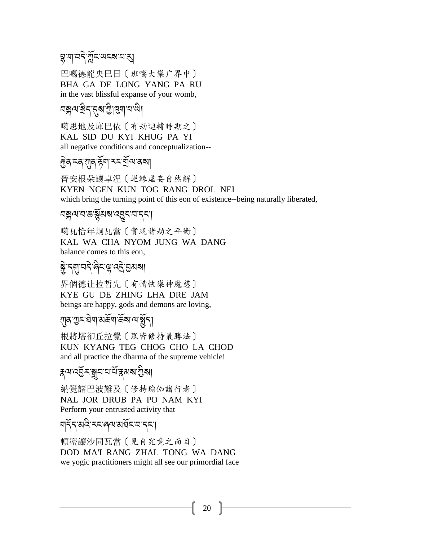## য়ৢয়ঢ়ঽৼয়ৣ৾ৼ৻৸ৼ৸ৼঀ

巴噶德龍央巴日〔班噶大樂广界中〕 BHA GA DE LONG YANG PA RU in the vast blissful expanse of your womb,

## 5 คราย 3 คราย 2

噶思地及庫巴依〔有劫迴轉時期之〕 KAL SID DU KYI KHUG PA YI all negative conditions and conceptualization--

### <u> क्र</u>ेद द्व राव हें या रूद ये विश्ववा

晉安根朵讓卓涅〔逆緣虛妄自然解〕 KYEN NGEN KUN TOG RANG DROL NEI which bring the turning point of this eon of existence-being naturally liberated,

### **ฅลุผสร**ัสสสรสูรสรร

噶瓦恰年炯瓦當〔實現諸劫之平衡〕 KAL WA CHA NYOM JUNG WA DANG balance comes to this eon.

# য়ৢ৾ৼয়ৼঢ়ৼড়ৢ৻ড়ৼ৻ৼ৻ৼ৻

界個德让拉哲先〔有情快樂神魔慈〕 KYE GU DE ZHING LHA DRE JAM beings are happy, gods and demons are loving,

#### <sub>৻</sub>ঀঀ৾৾ৢঢ়ৼ৾য়৽ঢ়৸ড়ৢয়৻৸৻য়৻ড়৻ড়৻

根將塔卻丘拉覺〔眾皆修持最勝法〕 KUN KYANG TEG CHOG CHO LA CHOD and all practice the dharma of the supreme vehicle!

## *ह्*यादेवॅु≍ाञ्चयायादॅाङ्ग्रह्मश्राञ्ची

納覺諸巴波難及〔修持瑜伽諸行者〕 NAL JOR DRUB PA PO NAM KYI Perform your entrusted activity that

## ๆธุ์รุ มฉิระสุขมลัยสรร

頓密讓沙同瓦當〔見自究竟之面目〕 DOD MA'I RANG ZHAL TONG WA DANG we yogic practitioners might all see our primordial face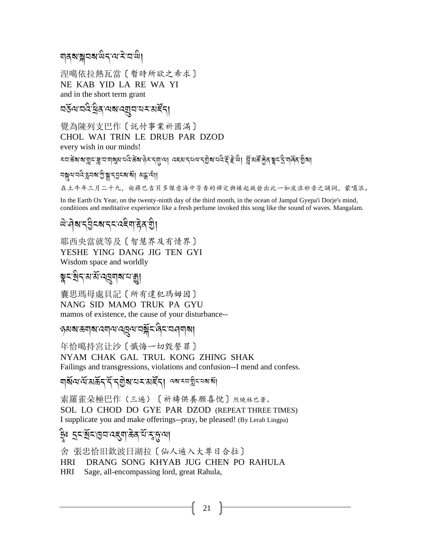### ๆสุสราสน์สุขาราย

涅噶依拉熱瓦當〔暫時所欲之希求〕 NE KAB YID LA RE WA YI and in the short term grant

*ম*ৰ্কুলবেদ্বুৰি লক্ষ্মৰ্বিয়া প্ৰহাৰ বুধি।

覺為陳列支巴作〔託付事業祈圓滿〕 CHOL WAI TRIN LE DRUB PAR DZOD every wish in our minds!

<u>৲ঘষ্টৰাৰাষ্ট্ৰাম্বাৰাৰাৰা</u>ৰীয়ে প্ৰয়াৰাৰাৰ প্ৰয়াৰ্য আৰু মুখ্য বিষ্টুৰিয়ে প্ৰয়াৰীয়ে প্ৰয়াৰীয়ে প্ৰয়াৰ্য

বস্নন্দর্পে স্থার প্রার্থ প্রদেশ বা পাই বুর 在土牛年三月二十九, 由蔣巴吉貝多傑意海中芳香的禪定與緣起啟發出此一如波浪妙音之誦詞, 蒙噶浪。

In the Earth Ox Year, on the twenty-ninth day of the third month, in the ocean of Jampal Gyepa'i Dorje's mind, conditions and meditative experience like a fresh perfume invoked this song like the sound of waves. Mangalam.

## *षे* पेब दुर्वेदब दयदेव हेव श्री

耶西央當就等及〔智慧界及有情界〕 YESHE YING DANG JIG TEN GYI Wisdom space and worldly

### ৡ৲য়৾ঀ<sup>৻</sup>য়৽য়৻ড়য়য়৸য়

囊思瑪母處貝記〔所有違犯瑪姆因〕 NANG SID MAMO TRUK PA GYU mamos of existence, the cause of your disturbance--

ত্তমৰাভ্ৰমাৰা বেমাঝাবম্ভ্ৰমাত্ৰৰী হ'ব বিমাৰা

年恰噶持宮让沙〔懺悔一切毀誓罪〕 NYAM CHAK GAL TRUL KONG ZHING SHAK Failings and transgressions, violations and confusion--I mend and confess.

ঘার্ষ্মে র্ম্মের্ক্তন র্ম্ন ব্র্মান্ম মার্ষ্ট বা অব্যবস্থা ব্যার্থা

索羅雀朵極巴作(三遍)〔祈禱供養願喜悅〕烈繞林巴著。

SOL LO CHOD DO GYE PAR DZOD (REPEAT THREE TIMES) I supplicate you and make offerings--pray, be pleased! (By Lerab Lingpa)

舍 張忠恰旧欽波日湖拉〔仙人遍入大尊日合拉〕

DRANG SONG KHYAB JUG CHEN PO RAHULA **HRI** 

**HRI** Sage, all-encompassing lord, great Rahula,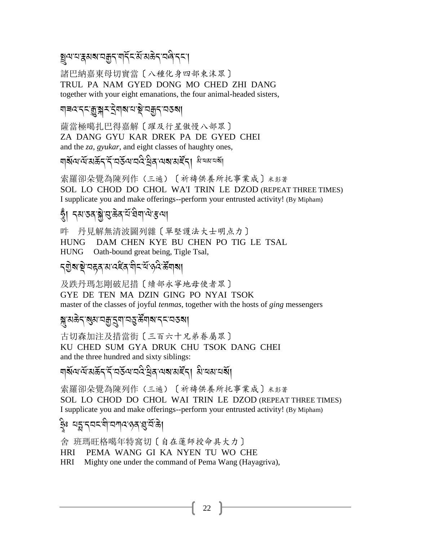য়ৄৢ৽৻৸ৼ৸ৼ৸ৼ৸ৼ৸ৼ৸ৼ৸ৼ৸ৼ৸

諸巴納嘉東母切實當〔八種化身四部東沫眾〕 TRUL PA NAM GYED DONG MO CHED ZHI DANG together with your eight emanations, the four animal-headed sisters,

#### য়য়ঽৼৼড়ৣৠৼ৾৾ৼৢয়৶য়৾য়৾ৼড়৾ৼঀড়ৼ

薩當極噶扎巴得嘉解〔躍及行星傲慢八部眾〕 ZA DANG GYU KAR DREK PA DE GYED CHEI and the *za*, *gyukar*, and eight classes of haughty ones,

ঘূর্ষমেন্দ্রপ্রহণ ব্রন্ত ব্যানেদ্র ব্রন্ত ব্যানে আর্থা বিদ্যালয়

索羅卻朵覺為陳列作(三遍)〔祈禱供養所托事業成〕米彭著 SOL LO CHOD DO CHOL WA'I TRIN LE DZOD (REPEAT THREE TIMES) I supplicate you and make offerings--perform your entrusted activity! (By Mipham)

## ত্ত্বী নমতনঙ্গুত্ত্বজন ইত্বিনাথক্তমা

吽 丹見解無清波圖列雜〔單堅護法大士明点力〕 DAM CHEN KYE BU CHEN PO TIG LE TSAL **HUNG** HUNG Oath-bound great being, Tigle Tsal,

及跌丹瑪怎剛破尼措〔續部永寧地母使者眾〕 GYE DE TEN MA DZIN GING PO NYAI TSOK master of the classes of joyful *tenmas*, together with the hosts of *ging* messengers

#### য়ৢয়ঌ৾ঀৼয়ৣয়ৼঽয়ৣৼঀৗৼঀৼয়৻ড়ৢ৸ৼঀৼৼঀয়য়

古切森加注及措當街〔三百六十兄弟眷屬眾〕 KU CHED SUM GYA DRUK CHU TSOK DANG CHEI and the three hundred and sixty siblings:

索羅卻朵覺為陳列作 (三遍) 〔祈禱供養所托事業成〕米彭著 SOL LO CHOD DO CHOL WAI TRIN LE DZOD (REPEAT THREE TIMES) I supplicate you and make offerings--perform your entrusted activity! (By Mipham)

舍 班瑪旺格噶年特窩切〔自在蓮師授命具大力〕

HRI PEMA WANG GI KA NYEN TU WO CHE

**HRI** Mighty one under the command of Pema Wang (Hayagriva),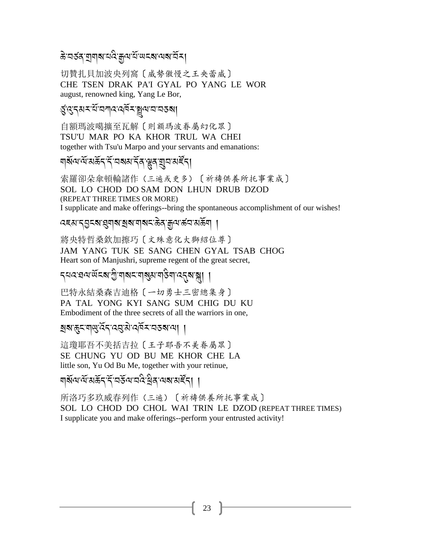#### ক্ত বৰ্ত্তৰ যাৰাৰ বাব্য শ্ৰুত ব্ৰাপ্ত ব্ৰে বাৰ্

切贊扎貝加波央列窩〔威勢傲慢之王央蕾威〕 CHE TSEN DRAK PA'I GYAL PO YANG LE WOR august, renowned king, Yang Le Bor,

#### ধুঁওৰে মন্ত্ৰীয় আন্তৰ্য কৰি দিয়ে বিৰো

自額瑪波噶擴至瓦解〔則額瑪波眷屬幻化眾〕 TSU'U MAR PO KA KHOR TRUL WA CHEI together with Tsu'u Marpo and your servants and emanations:

### য়য়৻৸৻৸ৣৼ৸ৼ৸ৼ৸ৼ৸ৼ৻৸৸৸ৼ৸৸ৼ৻৸

索羅卻朵傘頓輪諸作(三遍或更多)〔祈禱供養所托事業成〕 SOL LO CHOD DO SAM DON LHUN DRUB DZOD (REPEAT THREE TIMES OR MORE) I supplicate and make offerings--bring the spontaneous accomplishment of our wishes!

#### *ঽ*য়য়ৼঀৣঽৼ৶য়৸য়৸ৼঢ়ড়৸ৼ৻ড়ঀৼঢ়ড়৻৸ড়ড়৸

將央特哲桑欽加擦巧〔文殊意化大獅紹位尊〕 JAM YANG TUK SE SANG CHEN GYAL TSAB CHOG Heart son of Manjushri, supreme regent of the great secret,

*ร*ุผล:สง พิธี พิมพระ พิชู พิมพริยา ( 1 สุ

巴特永結桑森吉迪格〔一切勇士三密總集身〕 PA TAL YONG KYI SANG SUM CHIG DU KU Embodiment of the three secrets of all the warriors in one.

#### 

這瓊耶吾不美括吉拉〔王子耶吾不美眷屬眾〕 SE CHUNG YU OD BU ME KHOR CHE LA little son, Yu Od Bu Me, together with your retinue,

### য়য়ড়৸ড়য়ড়ৼ৻ৼৣ৾ৼ৸ৼ৸ৼ৻ড়৸ৼ৻৸৸ৼ৸ৼ৻৸৾

所洛巧多玖威春列作(三遍)〔祈禱供養所托事業成〕

SOL LO CHOD DO CHOL WAI TRIN LE DZOD (REPEAT THREE TIMES) I supplicate you and make offerings--perform your entrusted activity!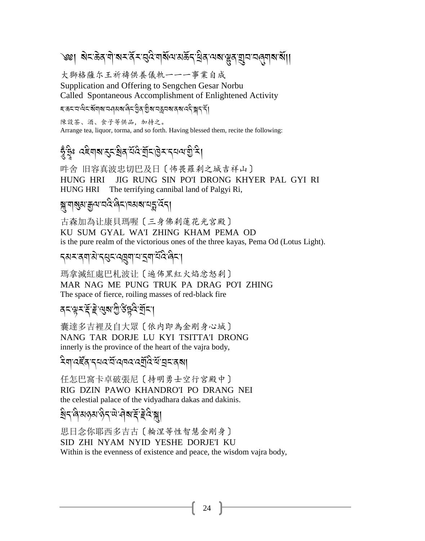# ৩খ। ঝ≂ক্টর নার্মমন্ত্রীমন্ত্রিয়ার্মনের্মন্ত্রীয় নেমান্ত্রীয়ার ব্রানার্থার্মা।

大獅格薩尔王祈禱供養儀軌一一一事業自成 Supplication and Offering to Sengchen Gesar Norbu Called Spontaneous Accomplishment of Enlightened Activity

#### *ৼ*ॱঌৼৼঀ৾৽ৼ৾য়য়য়ৼঀয়য়৾৽৻ড়৻ৼঀৢঽৼ৾ঀৣয়ৼঀৼঀয়ৼঀৼ৻ৼ৻ৼৣৼৼ৻

陳設茶、酒、食子等供品, 加持之。 Arrange tea, liquor, torma, and so forth. Having blessed them, recite the following:

## ষ্ট্ৰইঃ ৫ইণৰাস্ক্ৰিষ্ঠিৰ ঘূৰ্য ঘূৰ্ব এনে যুক্ত

吽舍 旧容真波忠切巴及日〔怖畏羅刹之城吉祥山〕 HUNG HRI JIG RUNG SIN PO'I DRONG KHYER PAL GYI RI HUNG HRI The terrifying cannibal land of Palgyi Ri,

### য়য়য়য়য়ড়৸ৼঢ়৻৸ৼ৸ৼ৸ৼ

古森加為让康貝瑪喔〔三身佛刹蓮花光宮殿〕 KU SUM GYAL WA'I ZHING KHAM PEMA OD is the pure realm of the victorious ones of the three kayas, Pema Od (Lotus Light).

### **รมมสมุน มี รั**ยมสมุทร สมรับ

瑪拿滅紅處巴札波让〔遍佈黑紅火焰忿怒刹〕 MAR NAG ME PUNG TRUK PA DRAG PO'I ZHING The space of fierce, roiling masses of red-black fire

### *ॺ*≍ॱৠॸॱ<del>҈</del>ड़॔ॱॾॆॱॶ॒ॺॱॻॖऀॱऀड़ऀय़ऀॱॺॖॕॸॱ|

囊達多吉裡及自大眾〔依内即為金剛身心城〕 NANG TAR DORJE LU KYI TSITTA'I DRONG innerly is the province of the heart of the vajra body,

#### ঽয়ৼৼৢৼৄঀৼ৸ৼ৻৸৸ৼ৻ৼ৾ঢ়ৢৼ৻ৼ৻৸৸

任怎巴窩卡卓破張尼〔持明勇士空行宮殿中〕 RIG DZIN PAWO KHANDRO'I PO DRANG NEI the celestial palace of the vidyadhara dakas and dakinis.

## <u> ब</u>ैन विवार अर्थ के संस्कृत के बार के संस्कृत

思日念你耶西多吉古〔輪涅等性智慧金剛身〕 SID ZHI NYAM NYID YESHE DORJE'I KU Within is the evenness of existence and peace, the wisdom vajra body,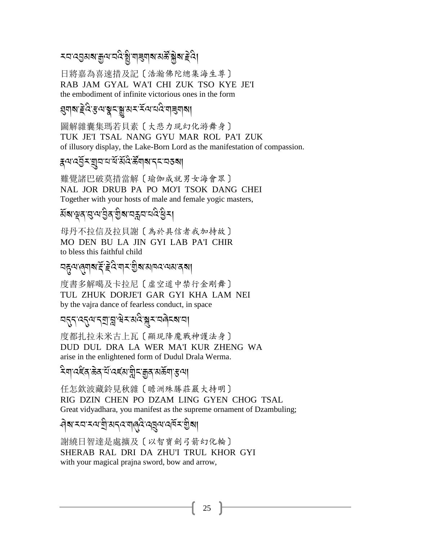### *৲*ঘ ৰেত্ৰমৰা স্কুন ঘৰ স্কুৱাৰী মাৰিৱাৰ সমূহ দুৰ্ঘ

日將嘉為喜速措及記〔浩瀚佛陀總集海生尊〕 RAB JAM GYAL WA'I CHI ZUK TSO KYE JE'I the embodiment of infinite victorious ones in the form

### য়৸৶ৼ৻ৼ৻৸য়৸য়৸ৼ৻ৼ৻৸৸৻<br>য়য়য়য়

圖解雜囊集瑪若貝素〔大悲力現幻化游舞身〕 TUK JE'I TSAL NANG GYU MAR ROL PA'I ZUK of illusory display, the Lake-Born Lord as the manifestation of compassion.

#### द्भयद्भुँ र युवायार्थे अँदै क्षिण बाद्र वरुषा

難覺諸巴破莫措當解〔瑜伽成就男女海會眾〕 NAL JOR DRUB PA PO MO'I TSOK DANG CHEI Together with your hosts of male and female yogic masters,

## য়য়ড়ঀড়ড়ড়ৢঀৼঢ়ড়৸ৼঀৼ৻ড়৸

母丹不拉信及拉貝謝〔為於具信者我加持故〕 MO DEN BU LA JIN GYI LAB PA'I CHIR to bless this faithful child

### *মहुন্ম*্ৰ্যৰাৰ্শ্বি ই ইন্দিমাৰ্শ শ্ৰীৰামান্দমেমাৰ্বৰা

度書多解噶及卡拉尼〔虚空道中禁行金剛舞〕 TUL ZHUK DORJE'I GAR GYI KHA LAM NEI by the vajra dance of fearless conduct, in space

#### <u>၎၎၎၎႕ အသားမြို့အများ အထိုးအထိုးအရ</u>

度都扎拉未米古上瓦〔顯現降魔戰神護法身〕 DUD DUL DRA LA WER MA'I KUR ZHENG WA arise in the enlightened form of Dudul Drala Werma.

ঽঀ৾৸ঽৼৼৼড়ৠৼৣৼৼৼৼৼৼৼৼৼৼৼৼৼৼৼৼৼৼৼৼ

任怎欽波藏鈴見秋雜〔瞻洲殊勝莊嚴大持明〕 RIG DZIN CHEN PO DZAM LING GYEN CHOG TSAL Great vidyadhara, you manifest as the supreme ornament of Dzambuling;

## বিধামনামনায়ী অন্তরান্ত্রি বেন্নেনার্বমান্তিমা

謝繞日智達是處擴及〔以智寶劍弓箭幻化輪〕 SHERAB RAL DRI DA ZHU'I TRUL KHOR GYI with your magical prajna sword, bow and arrow,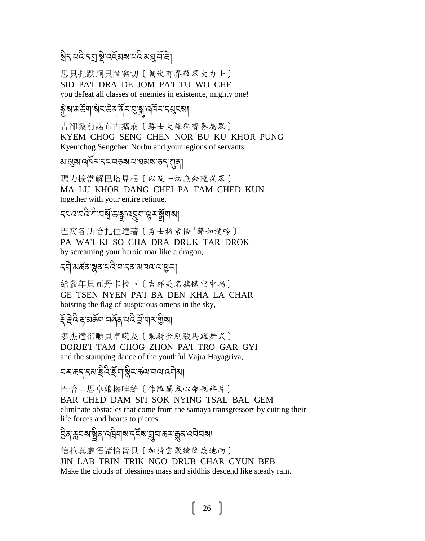### য়৸ৼঢ়৻ড়৸ড়ৢৼ৻ড়ৼঀৼ৻ড়৻ড়৻ড়৻ড়ৢ

思貝扎跌炯貝圖窩切〔調伏有界敵眾大力士〕 SID PA'I DRA DE JOM PA'I TU WO CHE you defeat all classes of enemies in existence, mighty one!

### <u> ब्रे</u>बारार्केवा बोदारे के संस्कृत संस्कृति के संस्कृति

吉卻桑前諾布古擴崩〔勝士大雄獅寶眷屬眾〕 KYEM CHOG SENG CHEN NOR BU KU KHOR PUNG Kyemchog Sengchen Norbu and your legions of servants,

#### 

瑪力擴當解巴塔見根〔以及一切無余隨從眾〕 MA LU KHOR DANG CHEI PA TAM CHED KUN together with your entire retinue,

### *৲*ঘৰ ঘৰ শীলগ্ম স্কুৰ ৰেমাঞ্জন স্ক্ৰীমাৰ্মা

巴窩各所恰扎住達著〔勇士格索恰<sup>1</sup>聲如龍吟〕 PA WA'I KI SO CHA DRA DRUK TAR DROK by screaming your heroic roar like a dragon,

#### **ॸ्षो**ॱअर्बत्रः ब्लूत्रायदिः यान् त्यानवायासुम्।

給參年貝瓦丹卡拉下〔吉祥美名旗幟空中揚〕 GE TSEN NYEN PA'I BA DEN KHA LA CHAR hoisting the flag of auspicious omens in the sky,

#### <del>য়</del>ৼয়ড়৸ড়য়৸ৼঢ়ড়৸ৼ

多杰達卻順貝卓噶及〔乘騎金剛駿馬躍舞式〕 DORJE'I TAM CHOG ZHON PA'I TRO GAR GYI and the stamping dance of the youthful Vajra Hayagriva,

巴恰日思卓娘擦哇給〔作障厲鬼心命剁碎片〕 BAR CHED DAM SI'I SOK NYING TSAL BAL GEM eliminate obstacles that come from the samaya transgressors by cutting their life forces and hearts to pieces.

### <u> ව</u>ुवाक्षयक्षुवायद्वियाबाद्देदबांद्ययाक्ष्यकुवादयेवबा

信拉真處悟諸恰晉貝〔加持雲聚續降悉地雨〕 JIN LAB TRIN TRIK NGO DRUB CHAR GYUN BEB Make the clouds of blessings mass and siddhis descend like steady rain.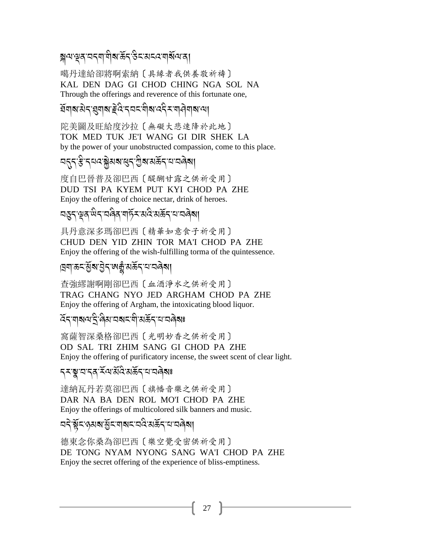### য়ৢঀৼড়৻ৼঀৼঀৗৢয়ৼড়৻ড়৻ড়৻ড়৻ড়৻ড়৻ড়৻

噶丹達給卻將啊索納〔具緣者我供養敬祈禱〕 KAL DEN DAG GI CHOD CHING NGA SOL NA Through the offerings and reverence of this fortunate one,

### *ই*লিবারীন প্রনাথা ইনিবেন লীবানের সম্বিল বাবে

陀美圖及旺給度沙拉〔無礙大悲速降於此地〕 TOK MED TUK JE'I WANG GI DIR SHEK LA by the power of your unobstructed compassion, come to this place.

#### <u>၎</u>สรร์ สุขสรี ที่สาราชิสรี สรรมสรี

度自巴晉普及卻巴西〔醍醐甘露之供祈受用〕 DUD TSI PA KYEM PUT KYI CHOD PA ZHE Enjoy the offering of choice nectar, drink of heroes.

### <u></u>๚डुङ्ग्थुब् सिङ्ग्वबिब् बार्हेङ्ग्रस्वे सर्केङ्ग्यायबेब्ब

具丹意深多瑪卻巴西〔精華如意食子祈受用〕 CHUD DEN YID ZHIN TOR MA'I CHOD PA ZHE Enjoy the offering of the wish-fulfilling torma of the quintessence.

#### ।ॺॖॺॱऊ<ॱऄॖ॔**ॺॱ**ऄॖॸॱॺक़ॗॕॱॺऊॅॸॱय़ॱय़ॿॆॺ।

查強繆謝啊剛卻巴西〔血酒淨水之供祈受用〕 TRAG CHANG NYO JED ARGHAM CHOD PA ZHE Enjoy the offering of Argham, the intoxicating blood liquor.

#### *ঽඁ*ඁ<় শৰ্মণ ইণ্ড্ৰীয় অৰ্মন শীস্ত ইন অৰ্থ ৰ

窩薩智深桑格卻巴西〔光明妙香之供祈受用〕 OD SAL TRI ZHIM SANG GI CHOD PA ZHE Enjoy the offering of purificatory incense, the sweet scent of clear light.

### **ॸॸॱॺॣॱ**य़ॱॸॺॱॕय़ॱऄ॔ऀऄख़ऄॕॸॱय़ॱय़ॿॆॺਃ

達納瓦丹若莫卻巴西〔旗幡音樂之供祈受用〕 DAR NA BA DEN ROL MO'I CHOD PA ZHE Enjoy the offerings of multicolored silk banners and music.

### ଘଟ଼ି শ্লুঁহজ্ঞাঝ'থ্ৰীঁহ'ল|ঝহ'ৱৰ্বি'ঝৰ্ক্ৰিণ অবিষ্যা

德東念你桑為卻巴西〔樂空覺受密供祈受用〕 DE TONG NYAM NYONG SANG WA'I CHOD PA ZHE Enjoy the secret offering of the experience of bliss-emptiness.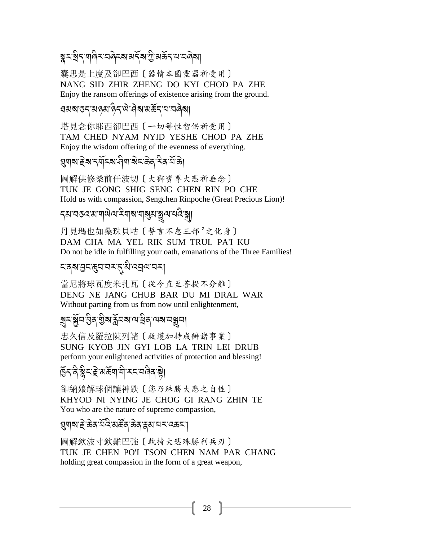### ৡৼ৾৾৾য়ৼয়ড়৻ৼৼড়ৼৼ৻ড়ৼ৸ৼ৻ড়৻৸ড়ৼ৸ৼ৸ড়৸

囊思是上度及卻巴西〔器情本圓靈器祈受用〕 NANG SID ZHIR ZHENG DO KYI CHOD PA ZHE Enjoy the ransom offerings of existence arising from the ground.

### *য়*য়য়ড়ঀয়ড়য়ড়৻ড়৻ড়৻ড়৻ড়য়ড়ড়৻

塔見念你耶西卻巴西〔一切等性智供祈受用〕 TAM CHED NYAM NYID YESHE CHOD PA ZHE Enjoy the wisdom offering of the evenness of everything.

### য়ৢঀয়ৼৗৄয়ৼঀয়ৼ৻৻৸৻৸৻৸৸ৼ৻ড়৸ৼ৻৸

圖解供修桑前任波切〔大獅寶尊大悲祈垂念〕 TUK JE GONG SHIG SENG CHEN RIN PO CHE Hold us with compassion, Sengchen Rinpoche (Great Precious Lion)!

## *ॸੑ*য়ॱয়ড়৻ৼয়ৼঢ়ড়ড়৻৸ড়৻ড়৸ৼঢ়ড়৸ৼঢ়ড়৸ড়৸ড়৸ড়৸ড়ঢ়৸ঢ়

丹見瑪也如桑珠貝咕〔誓言不怠三部<sup>2</sup>之化身〕 DAM CHA MA YEL RIK SUM TRUL PA'I KU Do not be idle in fulfilling your oath, emanations of the Three Families!

### <u>दत्रबातदश्यात्रदात्रं पत्रं पत्रं पत्रं प</u>

當尼將球瓦度米扎瓦〔從今直至菩提不分離〕 DENG NE JANG CHUB BAR DU MI DRAL WAR Without parting from us from now until enlightenment,

### য়ৢ৲য়ৣ৾য়৾৾৾ৣঽ৾য়ৣয়ৠৼৣ৾য়৸৻৸ড়ৢঀৼ৸ৼঢ়ড়৸

忠久信及羅拉陳列諸〔救護加持成辦諸事業〕 SUNG KYOB JIN GYI LOB LA TRIN LEI DRUB perform your enlightened activities of protection and blessing!

# हिन वैश्विम हे अर्कवायी मम्यविव है।

卻納娘解球個讓神跌〔您乃殊勝大悲之自性〕 KHYOD NI NYING JE CHOG GI RANG ZHIN TE You who are the nature of supreme compassion,

### য়ঀয়ৼৗৼড়ৠৼৢৼড়ড়৸ৼ৻৸ৼ৻৸৸ৼ৻ড়৸

圖解欽波寸欽難巴強〔執持大悲殊勝利兵刃〕 TUK JE CHEN PO'I TSON CHEN NAM PAR CHANG holding great compassion in the form of a great weapon,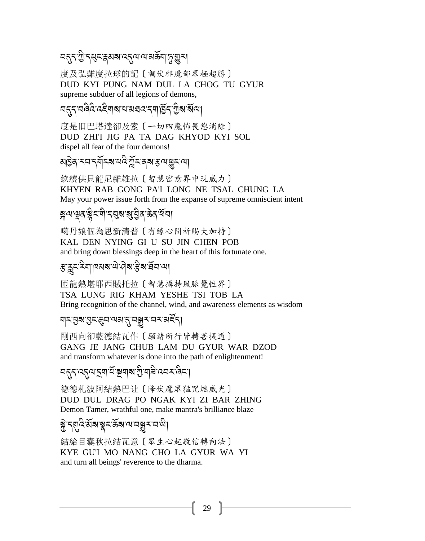### 

度及弘難度拉球的記〔調伏邪魔部眾極超勝〕 DUD KYI PUNG NAM DUL LA CHOG TU GYUR supreme subduer of all legions of demons,

度是旧巴塔達卻及索〔一切四魔怖畏您消除〕 DUD ZHI'I JIG PA TA DAG KHYOD KYI SOL dispel all fear of the four demons!

য়৾৾ঀৣ৾ঽ*ৼ*য়ৼয়ৄ৾ৼ৶য়ৼৢৼ৻ৼঀৣৼ৻ড়ৼ৻ড়ঢ়

欽繞供貝龍尼雜雄拉〔智慧密意界中現威力〕 KHYEN RAB GONG PA'I LONG NE TSAL CHUNG LA May your power issue forth from the expanse of supreme omniscient intent

## য়ৢৢ৽ৼড়৻ৼয়ৢৼয়ৗৼঀয়ৼয়৻য়ৣঀৼড়৸

噶丹娘個為思新清普〔有緣心間祈賜大加持〕 KAL DEN NYING GI U SU JIN CHEN POB and bring down blessings deep in the heart of this fortunate one.

### ৼৢৼৼৼৄৼৢৼৗৼৼ৻৸৸৸৸ঀ৸ৼঀ৻

匝龍熱堪耶西賊托拉〔智慧攝持風脈覺性界〕 TSA LUNG RIG KHAM YESHE TSI TOB LA Bring recognition of the channel, wind, and awareness elements as wisdom

### 

剛西向卻藍德結瓦作〔願諸所行皆轉菩提道〕 GANG JE JANG CHUB LAM DU GYUR WAR DZOD and transform whatever is done into the path of enlightenment!

<u> ননুন বনুন বাৰু ইন্দ্ৰবাৰ গ্ৰীবাৰ বেৰ ৰিব।</u>

德德札波阿結熱巴让「降伏魔眾猛咒燃威光〕 DUD DUL DRAG PO NGAK KYI ZI BAR ZHING Demon Tamer, wrathful one, make mantra's brilliance blaze

$$
\widetilde{\partial}^2 \mathcal{F} \setminus \mathcal{F} \setminus \mathcal{F} \setminus \mathcal{F} \setminus \mathcal{F} \setminus \mathcal{F} \setminus \mathcal{F} \setminus \mathcal{F} \setminus \mathcal{F} \setminus \mathcal{F} \setminus \mathcal{F} \setminus \mathcal{F} \setminus \mathcal{F} \setminus \mathcal{F} \setminus \mathcal{F} \setminus \mathcal{F} \setminus \mathcal{F} \setminus \mathcal{F} \setminus \mathcal{F} \setminus \mathcal{F} \setminus \mathcal{F} \setminus \mathcal{F} \setminus \mathcal{F} \setminus \mathcal{F} \setminus \mathcal{F} \setminus \mathcal{F} \setminus \mathcal{F} \setminus \mathcal{F} \setminus \mathcal{F} \setminus \mathcal{F} \setminus \mathcal{F} \setminus \mathcal{F} \setminus \mathcal{F} \setminus \mathcal{F} \setminus \mathcal{F} \setminus \mathcal{F} \setminus \mathcal{F} \setminus \mathcal{F} \setminus \mathcal{F} \setminus \mathcal{F} \setminus \mathcal{F} \setminus \mathcal{F} \setminus \mathcal{F} \setminus \mathcal{F} \setminus \mathcal{F} \setminus \mathcal{F} \setminus \mathcal{F} \setminus \mathcal{F} \setminus \mathcal{F} \setminus \mathcal{F} \setminus \mathcal{F} \setminus \mathcal{F} \setminus \mathcal{F} \setminus \mathcal{F} \setminus \mathcal{F} \setminus \mathcal{F} \setminus \mathcal{F} \setminus \mathcal{F} \setminus \mathcal{F} \setminus \mathcal{F} \setminus \mathcal{F} \setminus \mathcal{F} \setminus \mathcal{F} \setminus \mathcal{F} \setminus \mathcal{F} \setminus \mathcal{F} \setminus \mathcal{F} \setminus \mathcal{F} \setminus \mathcal{F} \setminus \mathcal{F} \setminus \mathcal{F} \setminus \mathcal{F} \setminus \mathcal{F} \setminus \mathcal{F} \setminus \mathcal{F} \setminus \mathcal{F} \setminus \mathcal{F} \setminus \mathcal{F} \setminus \mathcal{F} \setminus \mathcal{F} \setminus \mathcal{F} \setminus \mathcal{F} \setminus \mathcal{F} \setminus \mathcal{
$$

結給目囊秋拉結瓦意〔眾生心起敬信轉向法〕 KYE GU'I MO NANG CHO LA GYUR WA YI and turn all beings' reverence to the dharma.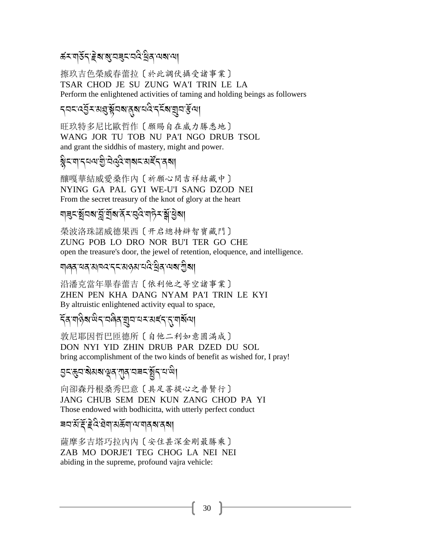### *ঌ*॔৲য়ড়ৼৼড়য়য়য়য়ৼৼঢ়ড়৻ড়৸

擦玖吉色榮威春蕾拉〔於此調伏攝受諸事業〕 TSAR CHOD JE SU ZUNG WA'I TRIN LE LA Perform the enlightened activities of taming and holding beings as followers

### ৼ৸ৼ৻ড়ৢৼয়ঀয়ৄ৾য়৸৶ঀ৸৻৸৻৸৻৸৸৸

旺玖特多尼比歐哲作〔願賜自在威力勝悉地〕 WANG JOR TU TOB NU PA'I NGO DRUB TSOL and grant the siddhis of mastery, might and power.

### ৡৼয়ৼঀয়ৠড়ড়৻ড়৸ৼয়ৼ৻৸

釀嘎華結威愛桑作內〔祈願心間吉祥結藏中〕 NYING GA PAL GYI WE-U'I SANG DZOD NEI From the secret treasury of the knot of glory at the heart

### য়য়ৼয়ৄ৸৶য়ৣ৾য়ৄ৾য়৸ড়ৼৼঀড়৻য়৸ঢ়ৼ৻ৠৣয়ৣয়

榮波洛珠諾威德果西〔开启總持辯智寶藏門〕 ZUNG POB LO DRO NOR BU'I TER GO CHE open the treasure's door, the jewel of retention, eloquence, and intelligence.

### য়৻ড়ঽৼয়ৼয়ঢ়৻ৼৼৼৼ৻৸ড়৸ৼ৻ড়৻ৼ৻ড়৻৸৻৸

沿潘克當年畢春蕾吉〔依利他之等空諸事業〕 ZHEN PEN KHA DANG NYAM PA'I TRIN LE KYI By altruistic enlightened activity equal to space,

#### বিষ্ণঔৰাজিবাৰৰ অনামকাৰ্বিধ্যাপ্পৰ

敦尼耶因哲巴匝德所〔自他二利如意圆满成〕 DON NYI YID ZHIN DRUB PAR DZED DU SOL bring accomplishment of the two kinds of benefit as wished for, I pray!

## 

向卻森丹根桑秀巴意〔具足菩提心之普賢行〕 JANG CHUB SEM DEN KUN ZANG CHOD PA YI Those endowed with bodhicitta, with utterly perfect conduct

### 

薩摩多吉塔巧拉內內〔安住甚深金剛最勝乘〕 ZAB MO DORJE'I TEG CHOG LA NEI NEI abiding in the supreme, profound vajra vehicle: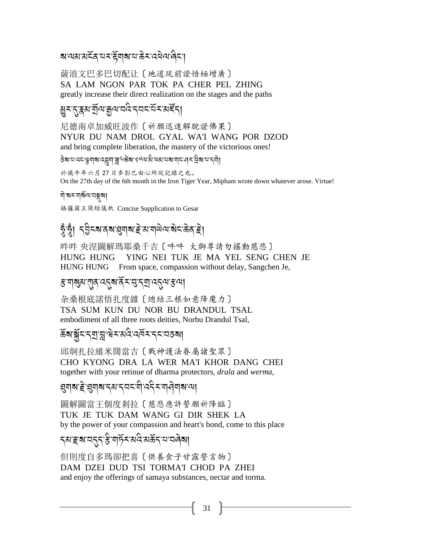### <u> बालबाबाद्रवायराहेंबाबायाऊेराववेलावेटा</u>

薩浪文巴多巴切配让〔地道現前證悟極增廣〕 SA LAM NGON PAR TOK PA CHER PEL ZHING greatly increase their direct realization on the stages and the paths

### য়৸ৼৼৼয়য়ৄ৾৻৸য়৸য়ঀ৻ৼঀৼ৻য়ৼৼ৸৻ৼৄৼ৾

尼德南卓加威旺波作〔祈願迅速解脫證佛果〕 NYUR DU NAM DROL GYAL WA'I WANG POR DZOD and bring complete liberation, the mastery of the victorious ones!

डेबायाददाक्षणबाद्युगाङ्गाण्डेंबा*१*थेवाहीचहायबागदान् से बायादगी।

於鐵牛年六月27日麥彭巴由心所現記錄之也。 On the 27th day of the 6th month in the Iron Tiger Year, Mipham wrote down whatever arose. Virtue!

ণা<sup>:</sup>মমমাৰ্মিণমেন্তুমা

格薩爾王簡短儀軌 Concise Supplication to Gesar

### ত্নুত্ম ব্ৰীৰ্বৰৰাৱনাৰ ইসমাজিত স্থান দুৰ্ব

吽吽 央涅圖解瑪耶桑千吉〔吽吽 大獅尊請勿搖動慈悲〕 HUNG HUNG YING NEI TUK JE MA YEL SENG CHEN JE HUNG HUNG From space, compassion without delay, Sangchen Je,

### ৼৢৼঀৠয়ৼঀঀৼ৻ৼঀড়৻ৼ৻ৼ৻ৼ৻ৼ৻ৼ৻ড়৻ড়৻৸

杂桑根底諾悟扎度雜〔總結三根如意降魔力〕 TSA SUM KUN DU NOR BU DRANDUL TSAL embodiment of all three roots deities, Norbu Drandul Tsal.

### കౌ ।<br>ইয়ে <u>ইয়ে আৰু স্</u>ৰান্ত প্ৰতিষ্ঠা বিদ্যালয়।

邱炯扎拉維米闊當吉〔戰神護法眷屬諸聖眾〕 CHO KYONG DRA LA WER MA'I KHOR DANG CHEI together with your retinue of dharma protectors, drala and werma,

### য়ৢঀয়ৼৗৼয়য়য়ৼ৻য়ৼ৸ৼ৻ড়৻৸ৼ৻৸৸৸৸৸

圖解圖當王個度剎拉〔慈悲應許誓願祈降臨〕 TUK JE TUK DAM WANG GI DIR SHEK LA by the power of your compassion and heart's bond, come to this place

### *ॸॺॱਞ*ॺॱय़ॸॣॸॱॾऀॱॺफ़ॎॕॸॱॺॺऀॱॺॾॕॸॱय़ॱय़ॿॆॺऻ

但則度自多瑪卻把喜〔供養食子甘露誓言物〕 DAM DZEI DUD TSI TORMA'I CHOD PA ZHEI and enjoy the offerings of samaya substances, nectar and torma.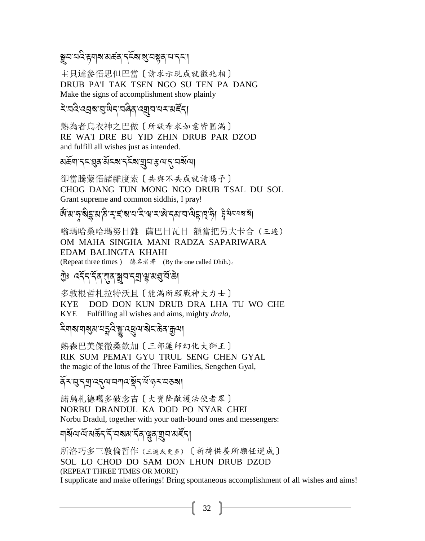### ন্ন্ৰাম মন্ত্ৰীয় সম্পৰ্কৰ কৰি আৰু সম্পৰ্ক আৰু সম্পৰ্ক কৰা

主貝達參悟思但巴當〔請求示現成就徵兆相〕 DRUB PA'I TAK TSEN NGO SU TEN PA DANG Make the signs of accomplishment show plainly

### देखदेख्युबासुखेदखबेवख्युवायरअर्हेद।

熱為者烏衣神之巴做〔所欲希求如意皆圓滿〕 RE WA'I DRE BU YID ZHIN DRUB PAR DZOD and fulfill all wishes just as intended.

#### য়ড়ৢ৸৾৴ৼ৾য়৾ৼ৻৸ৼ৸ৼৼৼ৸য়৾৸৸৸৸

卻當騰蒙悟諸雜度索〔共與不共成就請賜予〕 CHOG DANG TUN MONG NGO DRUB TSAL DU SOL Grant supreme and common siddhis, I pray!

*&যোদ্* ইহ্নম'ঠ মুৰ্বমান মন্দ্ৰ মাজ পৰা নাতু নিৰ্দুটি। ইয়াৰ বাৰ

嗡瑪哈桑哈瑪努日雜 薩巴日瓦日 額當把另大卡合 (三遍) OM MAHA SINGHA MANI RADZA SAPARIWARA **EDAM BALINGTA KHAHI** (Repeat three times) 德名者著 (By the one called Dhih.)。

### 

多敦根哲札拉特沃且〔能滿所願戰神大力士〕 **KYE** DOD DON KUN DRUB DRA LHA TU WO CHE KYE Fulfilling all wishes and aims, mighty drala,

### ঽয়য়য়য়য়ৼঢ়ৼ৻ৼ৻ৼঀৗৼ৻ৼ৻ৼ৻৸ৼ৻ৼ৻ৼ৻৸

熱森巴美傑徹桑欽加〔三部蓮師幻化大獅王〕 RIK SUM PEMA'I GYU TRUL SENG CHEN GYAL the magic of the lotus of the Three Families, Sengchen Gyal,

#### दॅरखुद्युत्त्यद्वयायगदर्भेदर्धिकुरावडबा

諾烏札德噶多破念吉〔大寶降敵護法使者眾〕 NORBU DRANDUL KA DOD PO NYAR CHEI Norbu Dradul, together with your oath-bound ones and messengers:

### য়৾য়৸ড়৻য়ড়৴৻ৼ৸ৼৼ৻৸ঀৣৼ৻য়৸ৼ৻৸

所洛巧多三敦倫哲作 (三遍或更多) 〔祈禱供養所願任運成〕 SOL LO CHOD DO SAM DON LHUN DRUB DZOD (REPEAT THREE TIMES OR MORE) I supplicate and make offerings! Bring spontaneous accomplishment of all wishes and aims!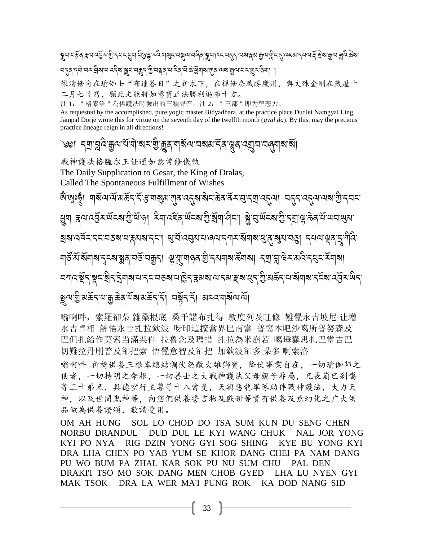য়ৄঀ<sup>৻</sup>ঀৼৢঀৼ৸৻৻ঀৄ৴৽ঢ়ৢ৸ৼ৻য়য়ঢ়ঢ়ঀৼ৻৻৸৶ৼৼঢ়৾য়৸৻৸ড়৻৸ৼঢ়৸৸ৼৼয়ৼয়৸৸ৼৼয়ৼয়৸ড়৻৻৻৻ৼৼড়৻৸ৼঢ়৻ৼ৻ৼৼড়৻৸ৼঢ়৻৻ৼৼ <u></u>ऽद्भिर्याः उरः सुबायः दर्दबाङ्ग्रूयः यक्जुरुः क्रुप्रे यश्चेत्रं यः के पुँगबाराग्नु स्वाङ्ग्रयः यरः शुरुः अग

依清修自在瑜伽士"布達答日"之祈求下,在禪修房戰勝魔州,與文殊金剛在藏歷十 二月七日寫,願此文能將如意寶正法勝利遍布十方。

注1: "格索洽 "為供護法時發出的三種聲音。注2: "三部 "即为智悲力。

As requested by the accomplished, pure yogic master Bidyadhara, at the practice place Dudlei Namgyal Ling, Jampal Dorje wrote this for virtue on the seventh day of the twelfth month  $(gyal da)$ . By this, may the precious practice lineage reign in all directions!

# ৩খ। বম্ৰান্নুৰ্দ্ৰযুদ্ৰাশ<sup>ন্</sup>যাৰ্শ ৰামজ্যিক বাৰ্ষ্ণ ব্ৰান্ন প্ৰদান বিদাৰ বিদাৰ বিদা

戰神護法格薩尔王任運如意常修儀軌

The Daily Supplication to Gesar, the King of Dralas, Called The Spontaneous Fulfillment of Wishes

ছ্ৰুণ ক্নম্বেইমন্ত্ৰমেণ্ট্ৰিষ্ণ। মিণ্ৰেইৰ্ক্ষেম্ব্ৰাষ্ট্ৰান্ত্ৰীমাৰীমা ক্লীব্ৰজিখেত্ৰীৰ্য্যক্ষিত্ৰ যি অন্যন্ত্ ইৰাওৰ্দুৰ এনে প্ৰাপ্তাৰ পৰা পৰিবলৈ পৰিবলৈ প্ৰাপ্তাৰ পৰিবলৈ পৰিবলৈ পৰিবলৈ স্থিতি কৰি প্ৰাপ্তাৰ পৰিবলৈ স্থিতি প্ ঘার্ষ্ট মন্থিম বেরায়ুর্ব বর্ষ বন্ধুর মান্ত ব্রায়া বিষয়ে প্রায়ন্ত্র ব্রায়ার্দ্ব ব্রায়ার্দ্ব ব <u>য়য়ঢ়৻ড়ৢৼৼয়ৗ৻ৼৗৢয়৾ৼ৻৸ৼ৻ৼড়ড়য়৻৸ড়৻৸ৼ৻৸৸৻৸ড়৸ড়৻৻ড়৻৻ড়৻৸ড়৻৸ড়৻৸৻ঢ়৻৸৻৸৻</u> ছ্নঅ:মূ:সঞ্জু-প্ৰাস্থ্য আৰু বুৰ্ত্তা বিষ্ণুৰ দুৰ্ব্য প্ৰবেশ্বৰ বিদ্যা

嗡啊吽, 索羅卻朵 雜桑根底 桑千諾布扎得 敦度列及旺修 難覺永吉坡尼 让增 永吉卓相 解悟永吉扎拉欽波 呀印這擴當界巴南當 普窩本吧沙噶所普努森及 巴但扎給作莫索当滿架件 拉魯念及瑪措 扎拉為米崩若 噶埵囊思扎巴當吉巴 切難拉丹則普及卻把索 悟覺意智及卻把 加欽波卻多 朵多 啊索洛

嗡啊吽 祈禱供養三根本總結調伏怨敵大雄獅寶,降伏事業自在,一切瑜伽師之 使者, 一切持明之命根, 一切善士之大戰神護法父母親子眷屬, 兄長崩巴剎噶 等三十弟兄,具德空行主尊等十八當曼,天與惡龍軍隊助伴戰神護法,大力天 神,以及世間鬼神等,向您們供養誓言物及獻新等實有供養及意幻化之广大供 品做為供養讚頌, 敬請受用。

OM AH HUNG SOL LO CHOD DO TSA SUM KUN DU SENG CHEN NORBU DRANDUL DUD DUL LE KYI WANG CHUK **NAL JOR YONG** RIG DZIN YONG GYI SOG SHING KYI PO NYA KYE BU YONG KYI DRA LHA CHEN PO YAB YUM SE KHOR DANG CHEI PA NAM DANG PU WO BUM PA ZHAL KAR SOK PU NU SUM CHU PAL DEN DRAKI'I TSO MO SOK DANG MEN CHOB GYED LHA LU NYEN GYI **MAK TSOK** DRA LA WER MA'I PUNG ROK KA DOD NANG SID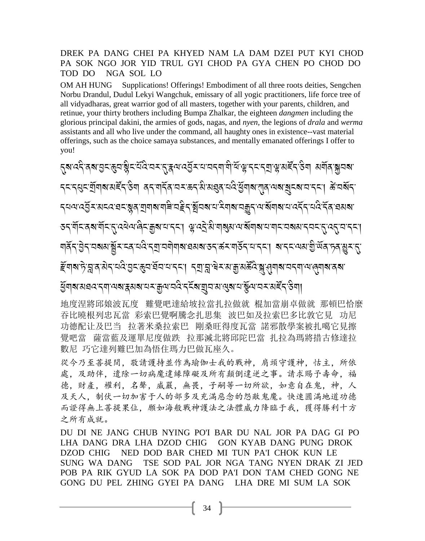#### DREK PA DANG CHEI PA KHYED NAM LA DAM DZEI PUT KYI CHOD PA SOK NGO JOR YID TRUL GYI CHOD PA GYA CHEN PO CHOD DO TOD DO NGA SOL LO

OM AH HUNG Supplications! Offerings! Embodiment of all three roots deities, Sengchen Norbu Drandul, Dudul Lekyi Wangchuk, emissary of all yogic practitioners, life force tree of all vidyadharas, great warrior god of all masters, together with your parents, children, and retinue, your thirty brothers including Bumpa Zhalkar, the eighteen *dangmen* including the glorious principal dakini, the armies of gods, nagas, and *nyen*, the legions of *drala* and *werma* assistants and all who live under the command, all haughty ones in existence--vast material offerings, such as the choice samaya substances, and mentally emanated offerings I offer to you!

*र्थाउर्ट्र अथ विजये थे स्त्रांड हैं । अ*पन्नी पुरित्या प्रतिकृति के स्थान के स्वर्ग के स्वयं के स्वयं स्थान ব্বৰ্ত্ত্ব্ৰ্য্য্যমন্ত্ৰ্ব্য উন্নাৰ্থ্য প্ৰব্ৰাষ্ট্ৰ ব্ৰহ্ম প্ৰব্ৰাস্থ্য প্ৰব্ৰাস্থ্য প্ৰব্ৰাস্থ্য স্থা কৰা সম *ॸॺॺख़ॎ*ॶॕॸॱॺॸढ़ख़ॸख़ॢॺॱॺॖॺॺॎॱॺऻॾऀॱय़ॾऀॸॱॺॖॕॺॺॱॻॱॸऀॺऻॺॱॺॹॗॸॱॺॱॺॕॺऻॺॱॻॱढ़ॸॕॸॱॻढ़ऀॱॸॕॺॱॿॺॺॱ *ॶ*ॸॱॺॕऻॸॳॎॕॴऻॕॸॱय़ख़ख़ख़ॎक़ॾॏख़ख़ॎॸॴॱॷख़ड़ॖॱऄॱॺऻॶॺख़ॎख़ॕॺऻॺॱय़ॱॺऻॸॱय़ॺॺॱॸय़ॸॱॸॱॶॎॸॱॸॸॱ *ङ्*याबाद्रे, सत्र अर्द्रायदि विदास्य सूचारा द्वा संज्ञान स्वरूप्र सुरुष्टि अं संयोजने अप्रविद्यालय स्वयं विद्य

gॅबाबासवदादवालबाद्गसत्रवादादादीदर्दबाज्ञातालुबादार्युलादादार्हेदउैवा।

地度涅將邱娘波瓦度 難覺吧達給坡拉當扎拉做就 棍加當崩卓做就 那頓巴恰麼 吞比曉根列忠瓦當 彩索巴覺啊騰念扎思集 波巴如及拉索巴多比敦它見 功尼 功德配让及巴当 拉著米桑拉索巴 剛桑旺得度瓦當 諾邪散學案被扎噶它見擦 覺吧當 薩當藍及運單尼度做跌 拉那滅北將邱陀巴當 扎拉為瑪將措古修達拉 數尼 巧它達列難巴加為悟住瑪力巴做瓦座久。

從今乃至菩提間, 敬請護持並作為瑜伽士我的戰神, 肩頭守護神, 怙主, 所依 處,及助伴,遣除一切病魔違緣障礙及所有顛倒違逆之事。請求賜予壽命,福 德, 財產, 權利, 名聲, 威嚴, 無畏, 子嗣等一切所欲, 如意自在鬼, 神, 人 及天人、制伏一切加害于人的部多及充满惡念的怨敵鬼魔。快速圓滿地道功德 而證得無上菩提果位,願如海般戰神護法之法體威力降臨于我,獲得勝利十方 之所有成就。

DU DI NE JANG CHUB NYING PO'I BAR DU NAL JOR PA DAG GI PO LHA DANG DRA LHA DZOD CHIG **GON KYAB DANG PUNG DROK** DZOD CHIG NED DOD BAR CHED MI TUN PA'I CHOK KUN LE **SUNG WA DANG** TSE SOD PAL JOR NGA TANG NYEN DRAK ZI JED POB PA RIK GYUD LA SOK PA DOD PA'I DON TAM CHED GONG NE GONG DU PEL ZHING GYEI PA DANG LHA DRE MI SUM LA SOK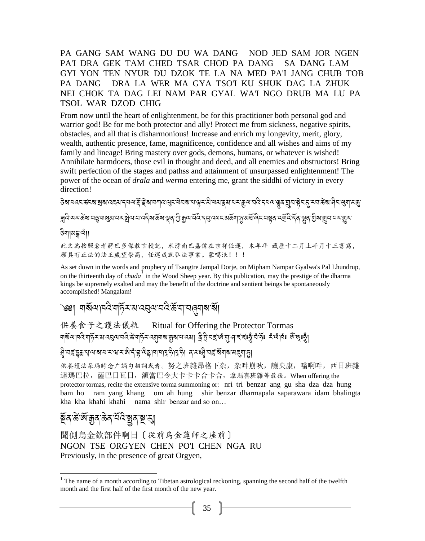PA GANG SAM WANG DU DU WA DANG NOD JED SAM JOR NGEN PA'I DRA GEK TAM CHED TSAR CHOD PA DANG SA DANG LAM GYI YON TEN NYUR DU DZOK TE LA NA MED PA'I JANG CHUB TOB PA DANG DRA LA WER MA GYA TSO'I KU SHUK DAG LA ZHUK NEI CHOK TA DAG LEI NAM PAR GYAL WA'I NGO DRUB MA LU PA **TSOL WAR DZOD CHIG** 

From now until the heart of enlightenment, be for this practitioner both personal god and warrior god! Be for me both protector and ally! Protect me from sickness, negative spirits, obstacles, and all that is disharmonious! Increase and enrich my longevity, merit, glory, wealth, authentic presence, fame, magnificence, confidence and all wishes and aims of my family and lineage! Bring mastery over gods, demons, humans, or whatever is wished! Annihilate harmdoers, those evil in thought and deed, and all enemies and obstructors! Bring swift perfection of the stages and pathss and attainment of unsurpassed enlightenment! The power of the ocean of *drala* and *werma* entering me, grant the siddhi of victory in every direction!

<del>ៜ</del>៷៷៷៹៹៙៵៷៷៷៷៵៷៸៹៷៷៹៝៓៓៹៷៷៷៷៝៳៝៷៷៷៷៷៷៷៷៷៷៷៷៷៷៷៷៷៷៷៷៹៷៷៹៷៷៸៹៷៷៸៹៷៷៹៷៷៷៹៹៷៷៹៹៷៷៷៹ ॾॖॏ<sub>ॳ</sub>ख़ॾॶख़ख़ऀख़ॾॎ॔ॴॾॷॎ<br>ॾॕॷॎख़ॾॎख़ख़ऻॾख़ख़ऻॷॴख़ख़ॷऻख़ख़ॷॾ<u>ॎ</u>ख़ख़ख़ख़ख़ख़ख़ख़ख़ख़ख़ख़ख़ख़ख़ख़ख़ख़ख़ख़ख़ख़

#### ङेगाबङ्काया

此文為按照倉者蔣巴多傑教言授記,米滂南巴嘉偉在吉祥任運,木羊年 藏歷十二月上半月十三書寫, 願具有正法的法王威望崇高, 任運成就弘法事業。蒙噶浪!!!

As set down in the words and prophecy of Tsangtre Jampal Dorje, on Mipham Nampar Gyalwa's Pal Lhundrup, on the thirteenth day of *chuda* in the Wood Sheep year. By this publication, may the prestige of the dharma kings be supremely exalted and may the benefit of the doctrine and sentient beings be spontaneously accomplished! Mangalam!

#### ৩খা শর্মনানেই শর্দুসমানের আমনিস্কানান জনা মা

#### 供養食子之護法儀軌 Ritual for Offering the Protector Tormas ঘার্য়ন্যান্ত ঘার্ট মায়াত্রেন প্রান্ত সামানি আর্থান্ত আমান প্রান্ত প্রান্ত বার্ত বার্ত বুলি বিদ্বাৰ্থ আছে প্র

#### नुजद्दा द्वया पाला वारा सामा का दुरी है। तो दुरी देख हो जाना के सुरे के सुरे से बाज के सुरे से सुरे से स्था ह<br>निर्वाचन के सुरे के सामा के सामा का सुरे के सुरे के सुरे के सुरे के सुरे के सुरे के सुरे के सुरे के सुरे के स

供養護法朵瑪時念广誦勾招詞或者。努之班雜昂格下杂,杂吽崩吙,讓央康,嗡啊吽,西日班雜 達瑪巴拉, 薩巴日瓦日, 額當巴令大卡卡卡合卡合, 拿瑪喜班雜等最後。When offering the protector tormas, recite the extensive torma summoning or: nri tri benzar ang gu sha dza dza hung bam ho ram yang khang om ah hung shir benzar dharmapala saparawara idam bhalingta kha kha khahi khahi nama shir benzar and so on...

## <u>ই</u>ঁৰ'ৰ্ক'ৰ্জ'ক্ৰুৰ'ৰ্ক্তৰ'ৰ ষ্ণাৰম্ভ'ৰ

聞側烏金欽部件啊日〔從前烏金蓮師之座前〕 NGON TSE ORGYEN CHEN PO'I CHEN NGA RU Previously, in the presence of great Orgyen,

<sup>&</sup>lt;sup>1</sup> The name of a month according to Tibetan astrological reckoning, spanning the second half of the twelfth month and the first half of the first month of the new year.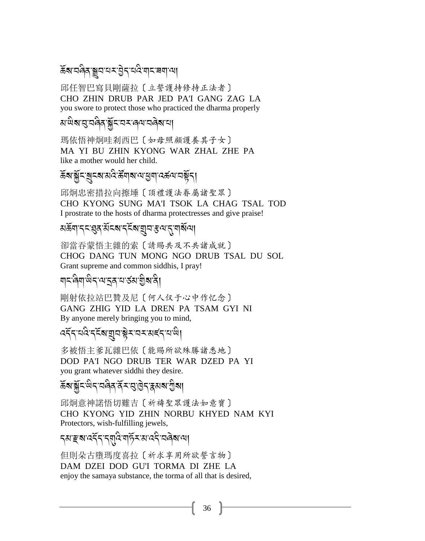## .<br>क्रॅब'वलेव क्वयाद्यमाडेन वदियानाच्या

邱任智巴寫貝剛薩拉〔立誓護持修持正法者〕 CHO ZHIN DRUB PAR JED PA'I GANG ZAG LA you swore to protect those who practiced the dharma properly

## ส<sup>.</sup>ผิส:สู.สดิสฺ ัฐัฺธฺ:สร:ดุส:สดิส:ส

瑪依悟神炯哇剎西巴〔如母照顧護養其子女〕 MA YI BU ZHIN KYONG WAR ZHAL ZHE PA like a mother would her child.

## .<br>કૅ**જ**:ક્ર્રॅદ:ક્ર્દ્રજ:સંદેશન્ને સંવાજા સુધી હર્જ્યાસફ્રેદી

邱炯忠密措拉向擦埵〔頂禮護法眷屬諸聖眾〕 CHO KYONG SUNG MA'I TSOK LA CHAG TSAL TOD I prostrate to the hosts of dharma protectresses and give praise!

### अर्क्ष्याद्दुद्ध्यद्भार्द्ध्याद्भव्याद्भारा अस्य ।

卻當吞蒙悟主雜的索〔請賜共及不共諸成就〕 CHOG DANG TUN MONG NGO DRUB TSAL DU SOL Grant supreme and common siddhis, I pray!

# ्<br>बाद्ग्लेबा<sup>:</sup>खेद्'व्यादुव्'द्याञ्जयाञ्चेबादी

剛射依拉站巴贊及尼〔何人仅于心中作忆念〕 GANG ZHIG YID LA DREN PA TSAM GYI NI By anyone merely bringing you to mind,

## ्<br>दर्नेन वदि नर्देव युव ब्लेन वन् अर्दन वाले।

多被悟主爹瓦雜巴依〔能賜所欲殊勝諸悉地〕 DOD PA'I NGO DRUB TER WAR DZED PA YI you grant whatever siddhi they desire.

## .<br>कॅब'ब्लॅट<sup>:ल</sup>न'व्विव'र्वेन'सुं। हेन'हूबाबा'ग्रैबा

邱炯意神諾悟切難吉〔祈禱聖眾護法如意寶〕 CHO KYONG YID ZHIN NORBU KHYED NAM KYI Protectors, wish-fulfilling jewels,

## न्त्याङ्काददॅन न्यादे बार्के राज्ञाददै चलेवाचा

但則朵古墮瑪度喜拉〔祈求享用所欲誓言物〕 DAM DZEI DOD GU'I TORMA DI ZHE LA enjoy the samaya substance, the torma of all that is desired,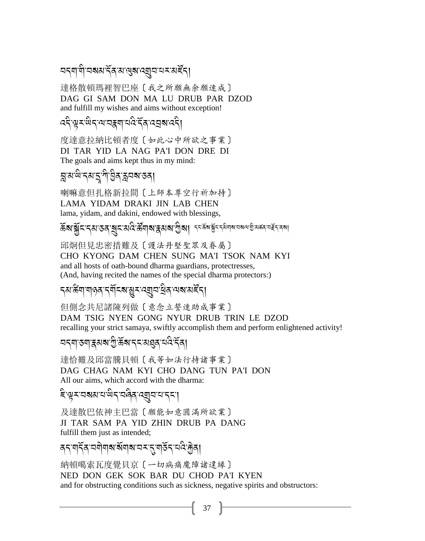### <u> ผรุสาสิราสมรัสพญสงค์สุด ผรรมสัร</u>

達格散頓瑪裡智巴座〔我之所願無余願速成〕 DAG GI SAM DON MA LU DRUB PAR DZOD and fulfill my wishes and aims without exception!

*द*देखरूखदायायह्रबायदेर्द्र्य द्वबाददी

度達意拉納比頓者度〔如此心中所欲之事業〕 DI TAR YID LA NAG PA'I DON DRE DI The goals and aims kept thus in my mind:

য়ৢয়<sup>৻</sup>য়৾ৼয়য়ৢৢৢ৸ড়ৢঀৼয়ড়য়য়

喇嘛意但扎格新拉間〔上師本尊空行祈加持〕 LAMA YIDAM DRAKI JIN LAB CHEN lama, yidam, and dakini, endowed with blessings,

### ক্তি**ৰা স্ক্ৰীমান্**বান্তৰ ৰোম প্ৰাৰম্ভিক পৰি প্ৰাৰম্ভিক পৰি প্ৰতি কৰি বিৰো

邱炯但見忠密措難及〔護法丹堅聖眾及眷屬〕 CHO KYONG DAM CHEN SUNG MA'I TSOK NAM KYI and all hosts of oath-bound dharma guardians, protectresses, (And, having recited the names of the special dharma protectors:)

### *ॸ*ॴख़ॴॳॳख़ख़ॕॾख़ॕॾॎख़ॕॳॎख़ख़ख़

但側念共尼諸陳列做〔意念立誓速助成事業〕 DAM TSIG NYEN GONG NYUR DRUB TRIN LE DZOD recalling your strict samaya, swiftly accomplish them and perform enlightened activity!

<u>ব</u>দ্মাতমান্ধমৰা গ্ৰীৰ্ক্টৰাদ্দমে ৰাজ্য বিদ্বি

達恰難及邱當騰貝頓〔我等如法行持諸事業〕 DAG CHAG NAM KYI CHO DANG TUN PA'I DON All our aims, which accord with the dharma:

हिन्धूरावसयायाधेदाववेदाव्यावादादवा

及達散巴依神主巴當〔願能如意圓滿所欲業〕 JI TAR SAM PA YID ZHIN DRUB PA DANG fulfill them just as intended;

ৰ্বযৰ্বিত্ৰণীৰাৰ ৰ্যনাৰ বৰ্ত্ত্বাৰ্ত্তি বুৰি।

納頓噶索瓦度覺貝京〔一切病痛魔障諸違緣〕 NED DON GEK SOK BAR DU CHOD PA'I KYEN and for obstructing conditions such as sickness, negative spirits and obstructors: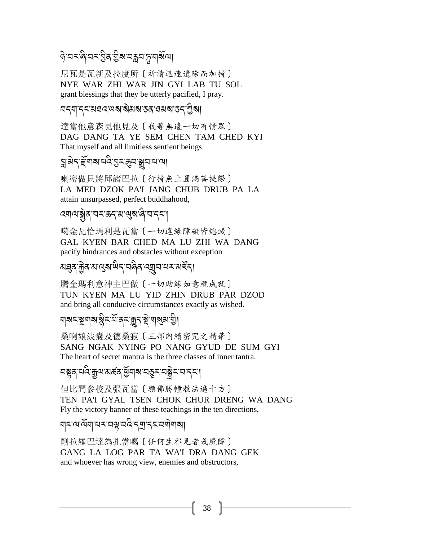### ৡয়য়য়৾ঀয়য়ড়ৢয়ৼঢ়য়ঢ়ড়য়৻

尼瓦是瓦新及拉度所〔祈請迅速遣除而加持〕 NYE WAR ZHI WAR JIN GYI LAB TU SOL grant blessings that they be utterly pacified, I pray.

#### <u>ব</u>্বশ্বৰ মৰব অৰাৰীমৰা কৰা ব্যৱস্থা কৰা গ্ৰীৰা

達當他意森見他見及〔我等無邊一切有情眾〕 DAG DANG TA YE SEM CHEN TAM CHED KYI That myself and all limitless sentient beings

### য়ৢয়ৼড়ৄ৻য়৾৶ৼ৻ড়৻ৼড়৸ড়৸

喇密做貝將邱諸巴拉〔行持無上圓滿菩提際〕 LA MED DZOK PA'I JANG CHUB DRUB PA LA attain unsurpassed, perfect buddhahood,

### <sup>෬য়</sup>ঀ<sup>ড়</sup>ৠৡৼঢ়ৼড়ৼড়৻ড়য়ড়৻ড়৻ড়৻ড়৻ড়৻

噶金瓦恰瑪利是瓦當〔一切違緣障礙皆熄滅〕 GAL KYEN BAR CHED MA LU ZHI WA DANG pacify hindrances and obstacles without exception

### য়য়ঽড়<u>ড়</u>ৼ৸ড়য়ড়৻ড়৻ৼঢ়ড়৻ড়য়৸ৼঢ়ঀৼ৻৸

騰金瑪利意神主巴做〔一切助緣如意願成就〕 TUN KYEN MA LU YID ZHIN DRUB PAR DZOD and bring all conducive circumstances exactly as wished.

#### য়য়ৼৼয়য়য়ৼয়ৢৼৼ৻ৼঀৼৼঀ৻ৼ৻ড়৸

桑啊娘波囊及德桑寂〔三部內續密咒之精華〕 SANG NGAK NYING PO NANG GYUD DE SUM GYI The heart of secret mantra is the three classes of inner tantra.

## 

但比間參校及張瓦當〔願佛勝幢教法遍十方〕 TEN PA'I GYAL TSEN CHOK CHUR DRENG WA DANG Fly the victory banner of these teachings in the ten directions,

### ॺड़ॎॱॺॱॺॕॺऻॱय़ॾख़ख़ख़ढ़ड़ॼॱड़ॾख़ॺॏॺऻॴ

剛拉羅巴達為扎當噶〔任何生邪見者或魔障〕 GANG LA LOG PAR TA WA'I DRA DANG GEK and whoever has wrong view, enemies and obstructors,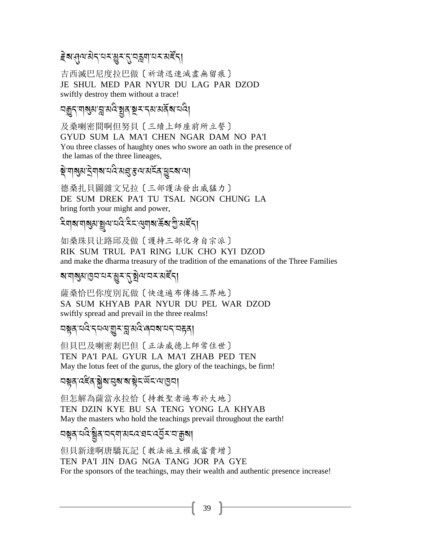# *।*<br>हेबासुवाद्येदायरञ्जूरात्यक्कवायराबर्द्द।

吉西滅巴尼度拉巴做〔祈請迅速滅盡無留痕〕 JE SHUL MED PAR NYUR DU LAG PAR DZOD swiftly destroy them without a trace!

<u>নৰূ</u>ন্'নাৰ্ম্য'ন্ন'ৰ্মণ্ড শ্লুৰ'ৰূম্'ন্ম'ৰ্মৰ্ম্বাত্মণি

及桑喇密間啊但努貝〔三續上師座前所立誓〕 GYUD SUM LA MA'I CHEN NGAR DAM NO PA'I You three classes of haughty ones who swore an oath in the presence of the lamas of the three lineages,

ক<br>বিৰ্তিত প্ৰাৰ্থ কৰি স্থাপন কৰি বিৰ্তিত কৰি স্থাপন<br>জীৱা স্থাপন কৰি বিৰিটা প্ৰতি কৰি বিৰিটা কৰি স্থাপন কৰি স্থাপন

德桑扎貝圖雜文兄拉〔三部護法發出威猛力〕 DE SUM DREK PA'I TU TSAL NGON CHUNG LA bring forth your might and power,

#### ূ<br>মণৰ বিপ্ৰায় প্ৰায়ন কৰে দুৰ্বী কৰা প্ৰায় কৰা প্ৰয় A

如桑珠貝让路邱及做〔護持三部化身自宗派〕 RIK SUM TRUL PA'I RING LUK CHO KYI DZOD and make the dharma treasury of the tradition of the emanations of the Three Families

# ৰ'মাৰ্শ্বাপ্তিঅন্যৰ শ্ৰীৰ প্ৰয়ন্ত্ৰ<br>শাৰ্শ কৰি কৰা বিদ্যালয়ৰ বিদ্যালয় কৰি বিদ্যালয়ৰ বিদ্যালয়ৰ বিদ্যালয়ৰ বিদ্যালয়ৰ বিদ্যালয়ৰ বিদ্যালয়ৰ বিদ্য

薩桑恰巴你度別瓦做〔快速遍布傳播三界地〕 SA SUM KHYAB PAR NYUR DU PEL WAR DZOD swiftly spread and prevail in the three realms!

নম্বন্দ্ৰ<br>নম্বন্দ্ৰাৰ অৰ্থা কৰি বিদ্যালয় কৰি বিদ্যালয় কৰি

但貝巴及喇密剎巴但〔正法威德上師常住世〕 TEN PA'I PAL GYUR LA MA'I ZHAB PED TEN May the lotus feet of the gurus, the glory of the teachings, be firm!

## 2!/-:6B /-\* J?-2?-?-! J%-;R%-=-H2,

但怎解為薩當永拉恰〔持教聖者遍布於大地〕 TEN DZIN KYE BU SA TENG YONG LA KHYAB May the masters who hold the teachings prevail throughout the earth!

#### <u><br>ब्रह्मदालके स्थित राज्य स्थानकारण स्था</u> A

但貝新達啊唐驕瓦記〔教法施主權威富貴增〕 TEN PA'I JIN DAG NGA TANG JOR PA GYE For the sponsors of the teachings, may their wealth and authentic presence increase!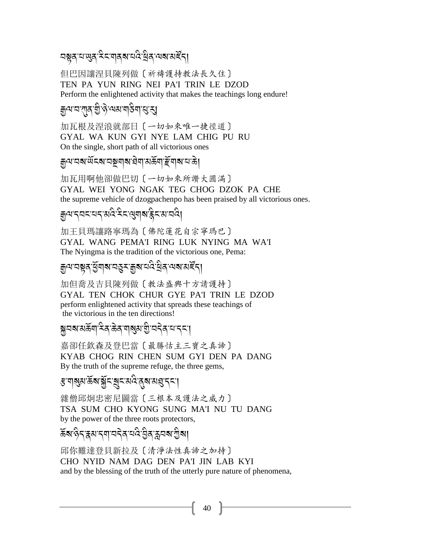但巴因讓涅貝陳列做〔祈禱護持教法長久住〕 TEN PA YUN RING NEI PA'I TRIN LE DZOD Perform the enlightened activity that makes the teachings long endure!

### <sub>ই</sub>নমত বাৰ হীও বেখন প্ৰস্ৰাৱ প্ৰা

加瓦根及涅浪就部日〔一切如來唯一捷徑道〕 GYAL WA KUN GYI NYE LAM CHIG PU RU On the single, short path of all victorious ones

য়ৣলরেখর্লু প্রস্কর প্রাপ্তর প্রায়ন্ত্রী দুর্বিতার

加瓦用啊他卻做巴切〔一切如來所讚大圓滿〕 GYAL WEI YONG NGAK TEG CHOG DZOK PA CHE

the supreme vehicle of dzogpachenpo has been praised by all victorious ones.

### য়ড়৸ৼ৸ৼ৸ৼ৸ড়৻ৼৢৼ৻ড়য়৸ৼৼ৻

加王貝瑪讓路寧瑪為〔佛陀蓮花自宗寧瑪巴〕 GYAL WANG PEMA'I RING LUK NYING MA WA'I The Nyingma is the tradition of the victorious one, Pema:

য়ৢ৽য়ৼয়৶ৼঀৣয়৾য়৸ৼৼৼয়৸ৼঢ়ঀৼ৻ড়৸ৼঢ়৻৸

加但喬及吉貝陳列做〔教法盛興十方請護持〕 GYAL TEN CHOK CHUR GYE PA'I TRIN LE DZOD perform enlightened activity that spreads these teachings of the victorious in the ten directions!

### য়ৢয়য়য়ড়ৢয়৾ৼৢৼড়ঀৼঀৗয়ঀৗয়৸ড়ৢৼয়ড়৻৸

嘉卻任欽森及登巴當〔最勝怙主三寶之真諦〕 KYAB CHOG RIN CHEN SUM GYI DEN PA DANG By the truth of the supreme refuge, the three gems,

### ৼ৸৶য়ড়ৄৼ৾ৼ৻ৼয়৸ৼৢৼ৸ড়৸ৼ

雜僧邱炯忠密尼圖當〔三根本及護法之威力〕 TSA SUM CHO KYONG SUNG MA'I NU TU DANG by the power of the three roots protectors,

ঌ৾য়৽ঢ়৳য়ৼয়ৼঀৗৼঀৗঀৼঀ৻ৼ৻ড়৸ৼ৻ড়৸

邱你難達登貝新拉及〔清淨法性真諦之加持〕 CHO NYID NAM DAG DEN PA'I JIN LAB KYI and by the blessing of the truth of the utterly pure nature of phenomena,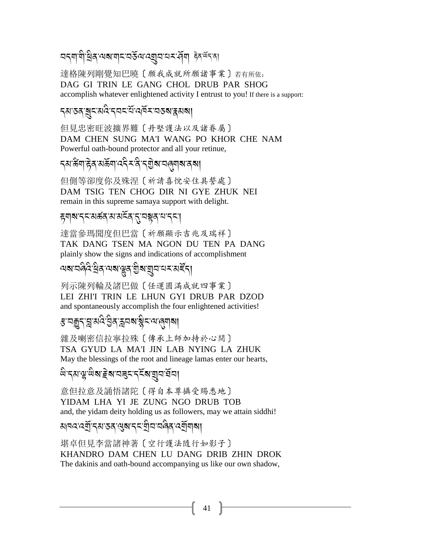## অব্যাধী ধ্ৰিষ অৰামান অৰ্ধৰ অৱস্থা আৰু ইনৰ্জনৰা

達格陳列剛覺知巴曉〔願我成就所願諸事業〕若有所依: DAG GI TRIN LE GANG CHOL DRUB PAR SHOG accomplish whatever enlightened activity I entrust to you! If there is a support:

#### *৲্ষ*তৰ্ যুম্মন্ত ব্ৰহ্মী নৰ্ত্ত সম্ভৱ স্থা

但見忠密旺波擴界難〔丹堅護法以及諸眷屬〕 DAM CHEN SUNG MA'I WANG PO KHOR CHE NAM Powerful oath-bound protector and all your retinue,

### **ॸॳॱড়ॴऺ**ॾॳख़ख़ॷॷॷॴख़ॷॴख़ॷ

但側等卻度你及殊涅〔祈請喜悅安住具誓處〕 DAM TSIG TEN CHOG DIR NI GYE ZHUK NEI remain in this supreme samaya support with delight.

### ह्याबाद्दासङ्गदासस्वद् राज्ञस्य पाद्

達當參瑪聞度但巴當〔祈願顯示吉兆及瑞祥〕 TAK DANG TSEN MA NGON DU TEN PA DANG plainly show the signs and indications of accomplishment

### <u>ผสรสดิวสิส ผสรสราติสตาลรามส์รุ</u>

列示陳列輪及諸巴做〔任運圓滿成就四事業〕 LEI ZHI'I TRIN LE LHUN GYI DRUB PAR DZOD and spontaneously accomplish the four enlightened activities!

### *ৼৢ*ॱঽয়ৄ৴য়ৢয়ঽ৻ঽড়ৢঽ৾ৼৼঀয়ৠৼ৻৸৻৾ঀয়

雜及喇密信拉寧拉殊〔傳承上師加持於心間〕 TSA GYUD LA MA'I JIN LAB NYING LA ZHUK May the blessings of the root and lineage lamas enter our hearts,

## <u>พิ</u>รมานู พิสาธิสามสุรารุรัสามุมายัม

意但拉意及誦悟諸陀〔得自本尊攝受賜悉地〕 YIDAM LHA YI JE ZUNG NGO DRUB TOB and, the yidam deity holding us as followers, may we attain siddhi!

### <u> ঝৰৱৱেশ্ৰী</u> ব্ৰাত্তৰ ৰেমাবৰ শ্ৰীবাৰ নিৰ্বাৰ মা

堪卓但見李當諸神著〔空行護法隨行如影子〕 KHANDRO DAM CHEN LU DANG DRIB ZHIN DROK The dakinis and oath-bound accompanying us like our own shadow,